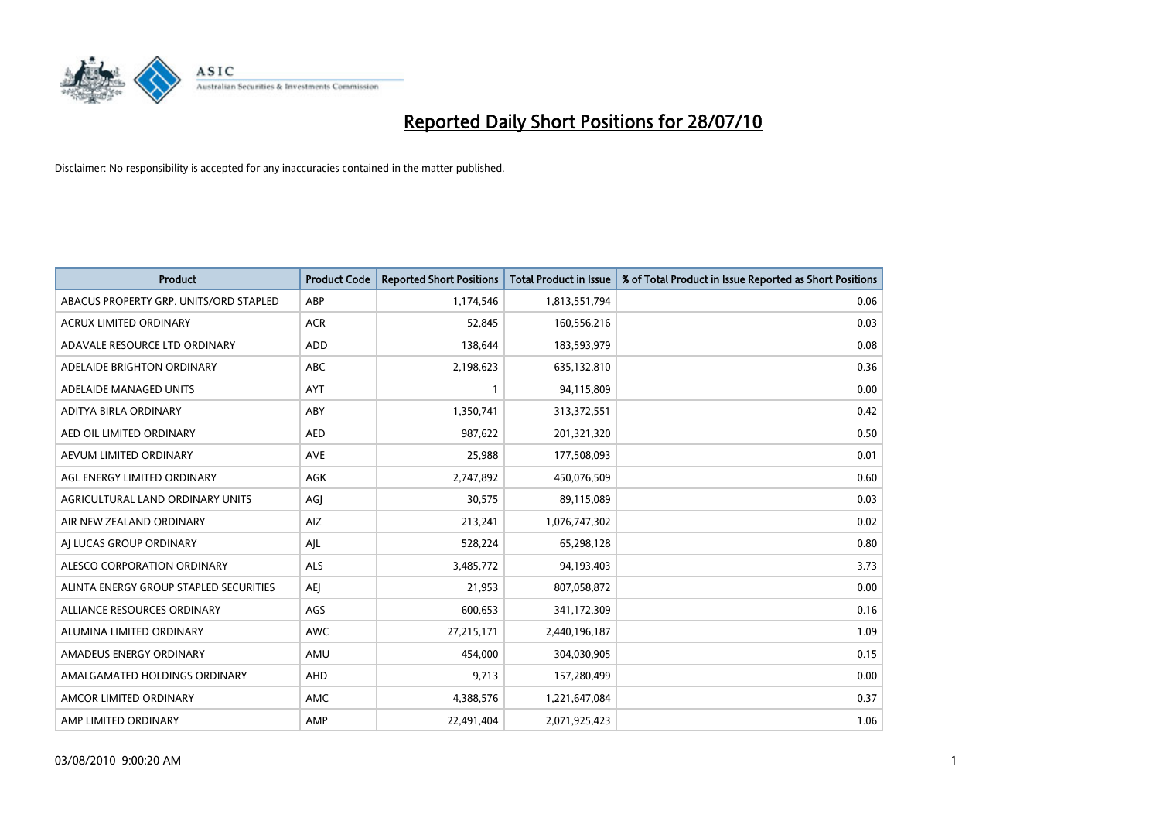

| <b>Product</b>                         | <b>Product Code</b> | <b>Reported Short Positions</b> | Total Product in Issue | % of Total Product in Issue Reported as Short Positions |
|----------------------------------------|---------------------|---------------------------------|------------------------|---------------------------------------------------------|
| ABACUS PROPERTY GRP. UNITS/ORD STAPLED | ABP                 | 1,174,546                       | 1,813,551,794          | 0.06                                                    |
| <b>ACRUX LIMITED ORDINARY</b>          | <b>ACR</b>          | 52.845                          | 160,556,216            | 0.03                                                    |
| ADAVALE RESOURCE LTD ORDINARY          | <b>ADD</b>          | 138,644                         | 183,593,979            | 0.08                                                    |
| ADELAIDE BRIGHTON ORDINARY             | <b>ABC</b>          | 2,198,623                       | 635,132,810            | 0.36                                                    |
| ADELAIDE MANAGED UNITS                 | AYT                 |                                 | 94,115,809             | 0.00                                                    |
| ADITYA BIRLA ORDINARY                  | ABY                 | 1,350,741                       | 313,372,551            | 0.42                                                    |
| AED OIL LIMITED ORDINARY               | <b>AED</b>          | 987,622                         | 201,321,320            | 0.50                                                    |
| AEVUM LIMITED ORDINARY                 | <b>AVE</b>          | 25,988                          | 177,508,093            | 0.01                                                    |
| AGL ENERGY LIMITED ORDINARY            | <b>AGK</b>          | 2,747,892                       | 450,076,509            | 0.60                                                    |
| AGRICULTURAL LAND ORDINARY UNITS       | AGI                 | 30,575                          | 89,115,089             | 0.03                                                    |
| AIR NEW ZEALAND ORDINARY               | AIZ                 | 213,241                         | 1,076,747,302          | 0.02                                                    |
| AI LUCAS GROUP ORDINARY                | AJL                 | 528,224                         | 65,298,128             | 0.80                                                    |
| ALESCO CORPORATION ORDINARY            | <b>ALS</b>          | 3,485,772                       | 94,193,403             | 3.73                                                    |
| ALINTA ENERGY GROUP STAPLED SECURITIES | <b>AEI</b>          | 21.953                          | 807,058,872            | 0.00                                                    |
| ALLIANCE RESOURCES ORDINARY            | AGS                 | 600,653                         | 341,172,309            | 0.16                                                    |
| ALUMINA LIMITED ORDINARY               | <b>AWC</b>          | 27,215,171                      | 2,440,196,187          | 1.09                                                    |
| AMADEUS ENERGY ORDINARY                | AMU                 | 454,000                         | 304,030,905            | 0.15                                                    |
| AMALGAMATED HOLDINGS ORDINARY          | AHD                 | 9,713                           | 157,280,499            | 0.00                                                    |
| AMCOR LIMITED ORDINARY                 | <b>AMC</b>          | 4,388,576                       | 1,221,647,084          | 0.37                                                    |
| AMP LIMITED ORDINARY                   | AMP                 | 22.491.404                      | 2,071,925,423          | 1.06                                                    |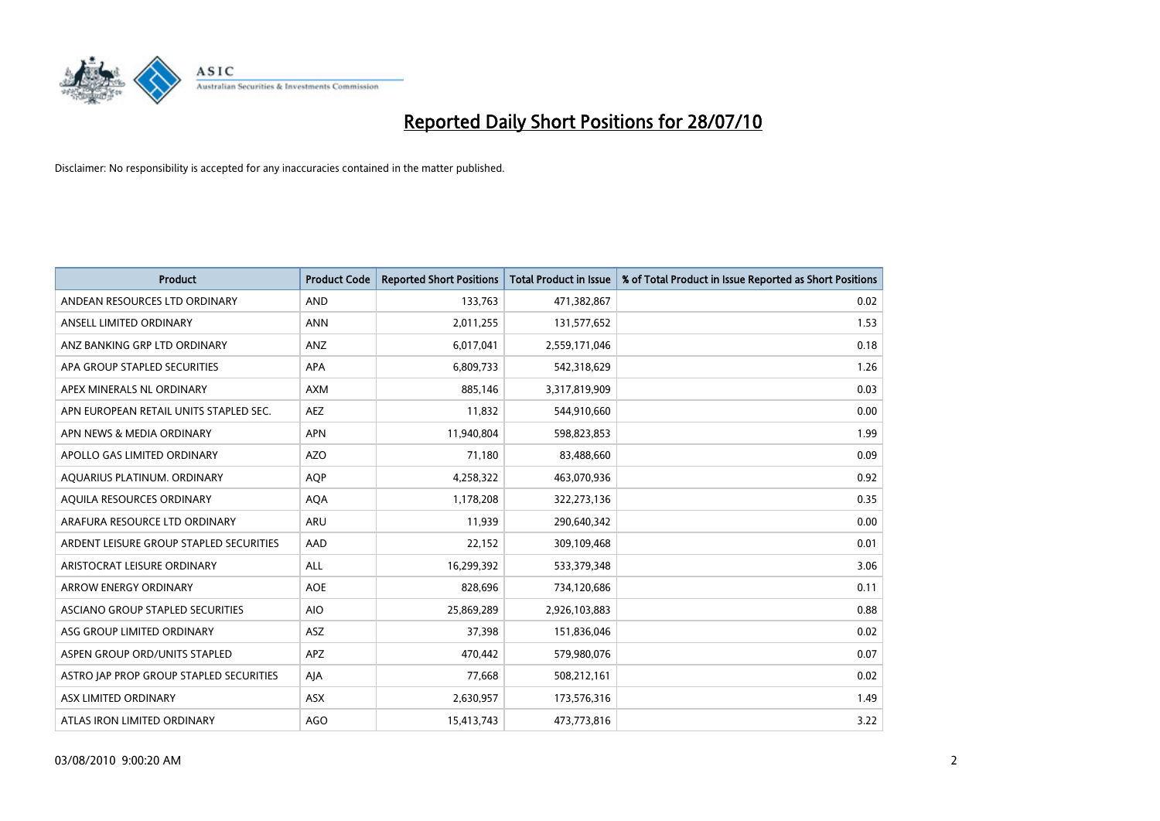

| <b>Product</b>                          | <b>Product Code</b> | <b>Reported Short Positions</b> | <b>Total Product in Issue</b> | % of Total Product in Issue Reported as Short Positions |
|-----------------------------------------|---------------------|---------------------------------|-------------------------------|---------------------------------------------------------|
| ANDEAN RESOURCES LTD ORDINARY           | <b>AND</b>          | 133,763                         | 471,382,867                   | 0.02                                                    |
| ANSELL LIMITED ORDINARY                 | <b>ANN</b>          | 2,011,255                       | 131,577,652                   | 1.53                                                    |
| ANZ BANKING GRP LTD ORDINARY            | ANZ                 | 6,017,041                       | 2,559,171,046                 | 0.18                                                    |
| APA GROUP STAPLED SECURITIES            | <b>APA</b>          | 6,809,733                       | 542,318,629                   | 1.26                                                    |
| APEX MINERALS NL ORDINARY               | <b>AXM</b>          | 885,146                         | 3,317,819,909                 | 0.03                                                    |
| APN EUROPEAN RETAIL UNITS STAPLED SEC.  | <b>AEZ</b>          | 11,832                          | 544,910,660                   | 0.00                                                    |
| APN NEWS & MEDIA ORDINARY               | <b>APN</b>          | 11,940,804                      | 598,823,853                   | 1.99                                                    |
| APOLLO GAS LIMITED ORDINARY             | <b>AZO</b>          | 71,180                          | 83,488,660                    | 0.09                                                    |
| AQUARIUS PLATINUM. ORDINARY             | <b>AQP</b>          | 4,258,322                       | 463,070,936                   | 0.92                                                    |
| AQUILA RESOURCES ORDINARY               | <b>AQA</b>          | 1,178,208                       | 322,273,136                   | 0.35                                                    |
| ARAFURA RESOURCE LTD ORDINARY           | <b>ARU</b>          | 11,939                          | 290,640,342                   | 0.00                                                    |
| ARDENT LEISURE GROUP STAPLED SECURITIES | AAD                 | 22,152                          | 309,109,468                   | 0.01                                                    |
| ARISTOCRAT LEISURE ORDINARY             | ALL                 | 16,299,392                      | 533,379,348                   | 3.06                                                    |
| ARROW ENERGY ORDINARY                   | <b>AOE</b>          | 828,696                         | 734,120,686                   | 0.11                                                    |
| ASCIANO GROUP STAPLED SECURITIES        | <b>AIO</b>          | 25,869,289                      | 2,926,103,883                 | 0.88                                                    |
| ASG GROUP LIMITED ORDINARY              | <b>ASZ</b>          | 37,398                          | 151,836,046                   | 0.02                                                    |
| ASPEN GROUP ORD/UNITS STAPLED           | APZ                 | 470,442                         | 579,980,076                   | 0.07                                                    |
| ASTRO JAP PROP GROUP STAPLED SECURITIES | AJA                 | 77,668                          | 508,212,161                   | 0.02                                                    |
| ASX LIMITED ORDINARY                    | ASX                 | 2,630,957                       | 173,576,316                   | 1.49                                                    |
| ATLAS IRON LIMITED ORDINARY             | <b>AGO</b>          | 15,413,743                      | 473,773,816                   | 3.22                                                    |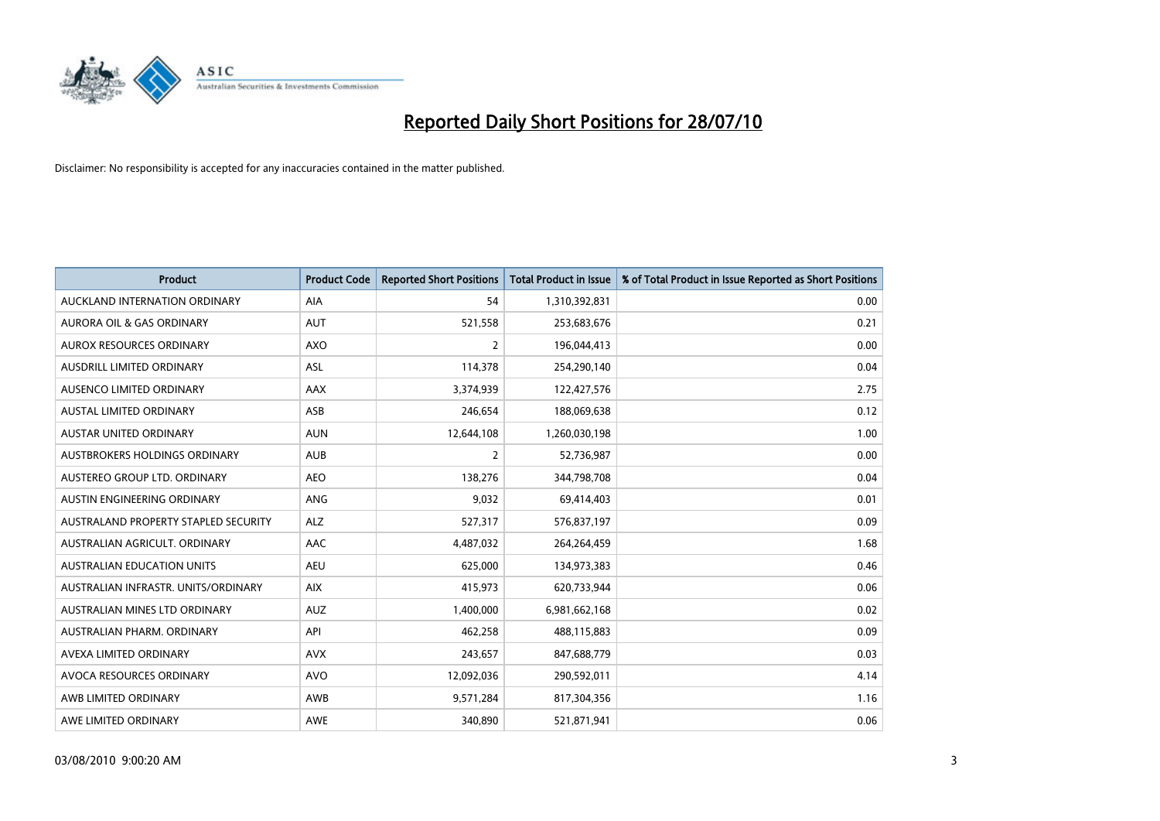

| <b>Product</b>                       | <b>Product Code</b> | <b>Reported Short Positions</b> | <b>Total Product in Issue</b> | % of Total Product in Issue Reported as Short Positions |
|--------------------------------------|---------------------|---------------------------------|-------------------------------|---------------------------------------------------------|
| AUCKLAND INTERNATION ORDINARY        | <b>AIA</b>          | 54                              | 1,310,392,831                 | 0.00                                                    |
| AURORA OIL & GAS ORDINARY            | <b>AUT</b>          | 521,558                         | 253,683,676                   | 0.21                                                    |
| AUROX RESOURCES ORDINARY             | <b>AXO</b>          | 2                               | 196,044,413                   | 0.00                                                    |
| AUSDRILL LIMITED ORDINARY            | <b>ASL</b>          | 114,378                         | 254,290,140                   | 0.04                                                    |
| AUSENCO LIMITED ORDINARY             | AAX                 | 3,374,939                       | 122,427,576                   | 2.75                                                    |
| <b>AUSTAL LIMITED ORDINARY</b>       | ASB                 | 246,654                         | 188,069,638                   | 0.12                                                    |
| AUSTAR UNITED ORDINARY               | <b>AUN</b>          | 12,644,108                      | 1,260,030,198                 | 1.00                                                    |
| AUSTBROKERS HOLDINGS ORDINARY        | <b>AUB</b>          | $\overline{2}$                  | 52,736,987                    | 0.00                                                    |
| AUSTEREO GROUP LTD. ORDINARY         | <b>AEO</b>          | 138,276                         | 344,798,708                   | 0.04                                                    |
| AUSTIN ENGINEERING ORDINARY          | ANG                 | 9,032                           | 69,414,403                    | 0.01                                                    |
| AUSTRALAND PROPERTY STAPLED SECURITY | <b>ALZ</b>          | 527,317                         | 576,837,197                   | 0.09                                                    |
| AUSTRALIAN AGRICULT, ORDINARY        | AAC                 | 4,487,032                       | 264,264,459                   | 1.68                                                    |
| AUSTRALIAN EDUCATION UNITS           | <b>AEU</b>          | 625,000                         | 134,973,383                   | 0.46                                                    |
| AUSTRALIAN INFRASTR. UNITS/ORDINARY  | <b>AIX</b>          | 415,973                         | 620,733,944                   | 0.06                                                    |
| AUSTRALIAN MINES LTD ORDINARY        | <b>AUZ</b>          | 1,400,000                       | 6,981,662,168                 | 0.02                                                    |
| AUSTRALIAN PHARM. ORDINARY           | API                 | 462,258                         | 488,115,883                   | 0.09                                                    |
| AVEXA LIMITED ORDINARY               | <b>AVX</b>          | 243,657                         | 847,688,779                   | 0.03                                                    |
| AVOCA RESOURCES ORDINARY             | <b>AVO</b>          | 12,092,036                      | 290,592,011                   | 4.14                                                    |
| AWB LIMITED ORDINARY                 | AWB                 | 9,571,284                       | 817,304,356                   | 1.16                                                    |
| AWE LIMITED ORDINARY                 | AWE                 | 340,890                         | 521,871,941                   | 0.06                                                    |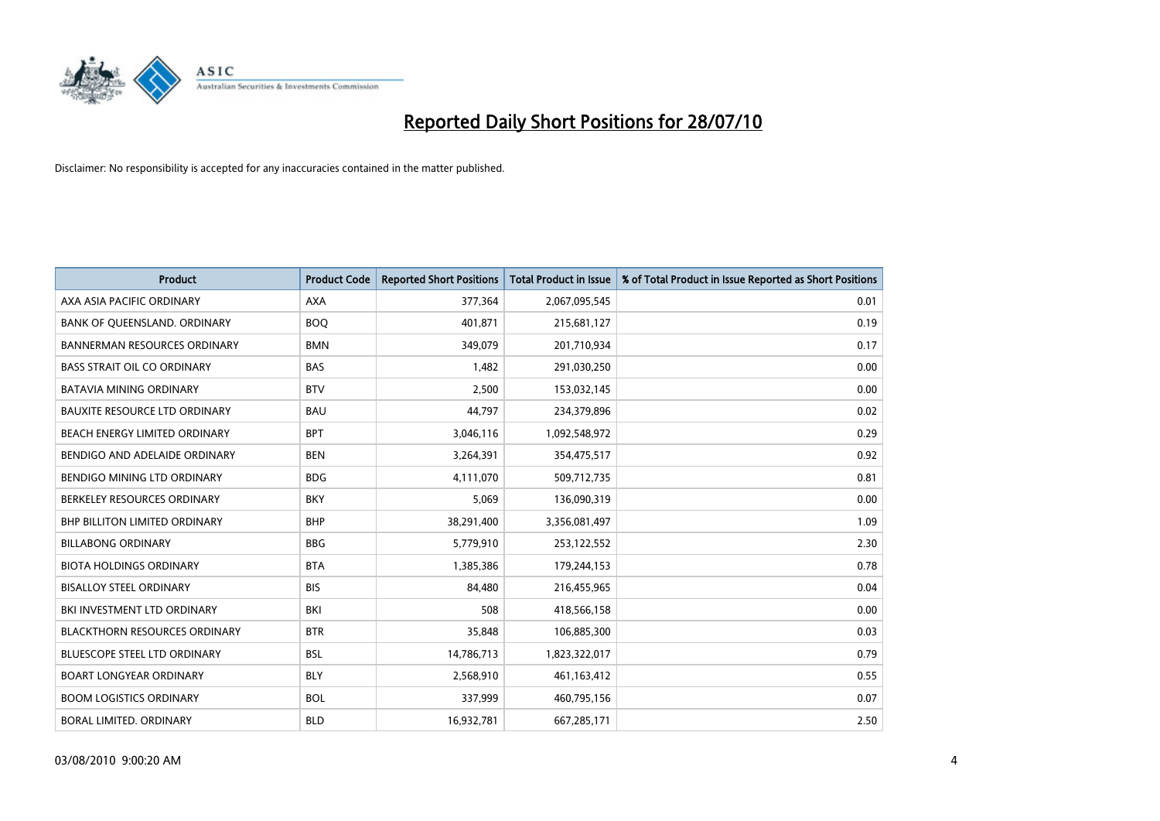

| <b>Product</b>                       | <b>Product Code</b> | <b>Reported Short Positions</b> | <b>Total Product in Issue</b> | % of Total Product in Issue Reported as Short Positions |
|--------------------------------------|---------------------|---------------------------------|-------------------------------|---------------------------------------------------------|
| AXA ASIA PACIFIC ORDINARY            | <b>AXA</b>          | 377,364                         | 2,067,095,545                 | 0.01                                                    |
| BANK OF QUEENSLAND. ORDINARY         | <b>BOO</b>          | 401,871                         | 215,681,127                   | 0.19                                                    |
| <b>BANNERMAN RESOURCES ORDINARY</b>  | <b>BMN</b>          | 349,079                         | 201,710,934                   | 0.17                                                    |
| <b>BASS STRAIT OIL CO ORDINARY</b>   | <b>BAS</b>          | 1,482                           | 291,030,250                   | 0.00                                                    |
| <b>BATAVIA MINING ORDINARY</b>       | <b>BTV</b>          | 2,500                           | 153,032,145                   | 0.00                                                    |
| <b>BAUXITE RESOURCE LTD ORDINARY</b> | <b>BAU</b>          | 44,797                          | 234,379,896                   | 0.02                                                    |
| BEACH ENERGY LIMITED ORDINARY        | <b>BPT</b>          | 3,046,116                       | 1,092,548,972                 | 0.29                                                    |
| BENDIGO AND ADELAIDE ORDINARY        | <b>BEN</b>          | 3,264,391                       | 354,475,517                   | 0.92                                                    |
| BENDIGO MINING LTD ORDINARY          | <b>BDG</b>          | 4,111,070                       | 509,712,735                   | 0.81                                                    |
| BERKELEY RESOURCES ORDINARY          | <b>BKY</b>          | 5,069                           | 136,090,319                   | 0.00                                                    |
| <b>BHP BILLITON LIMITED ORDINARY</b> | <b>BHP</b>          | 38,291,400                      | 3,356,081,497                 | 1.09                                                    |
| <b>BILLABONG ORDINARY</b>            | <b>BBG</b>          | 5,779,910                       | 253,122,552                   | 2.30                                                    |
| <b>BIOTA HOLDINGS ORDINARY</b>       | <b>BTA</b>          | 1,385,386                       | 179,244,153                   | 0.78                                                    |
| <b>BISALLOY STEEL ORDINARY</b>       | <b>BIS</b>          | 84,480                          | 216,455,965                   | 0.04                                                    |
| BKI INVESTMENT LTD ORDINARY          | BKI                 | 508                             | 418,566,158                   | 0.00                                                    |
| <b>BLACKTHORN RESOURCES ORDINARY</b> | <b>BTR</b>          | 35,848                          | 106,885,300                   | 0.03                                                    |
| <b>BLUESCOPE STEEL LTD ORDINARY</b>  | <b>BSL</b>          | 14,786,713                      | 1,823,322,017                 | 0.79                                                    |
| <b>BOART LONGYEAR ORDINARY</b>       | <b>BLY</b>          | 2,568,910                       | 461,163,412                   | 0.55                                                    |
| <b>BOOM LOGISTICS ORDINARY</b>       | <b>BOL</b>          | 337,999                         | 460,795,156                   | 0.07                                                    |
| BORAL LIMITED, ORDINARY              | <b>BLD</b>          | 16.932.781                      | 667,285,171                   | 2.50                                                    |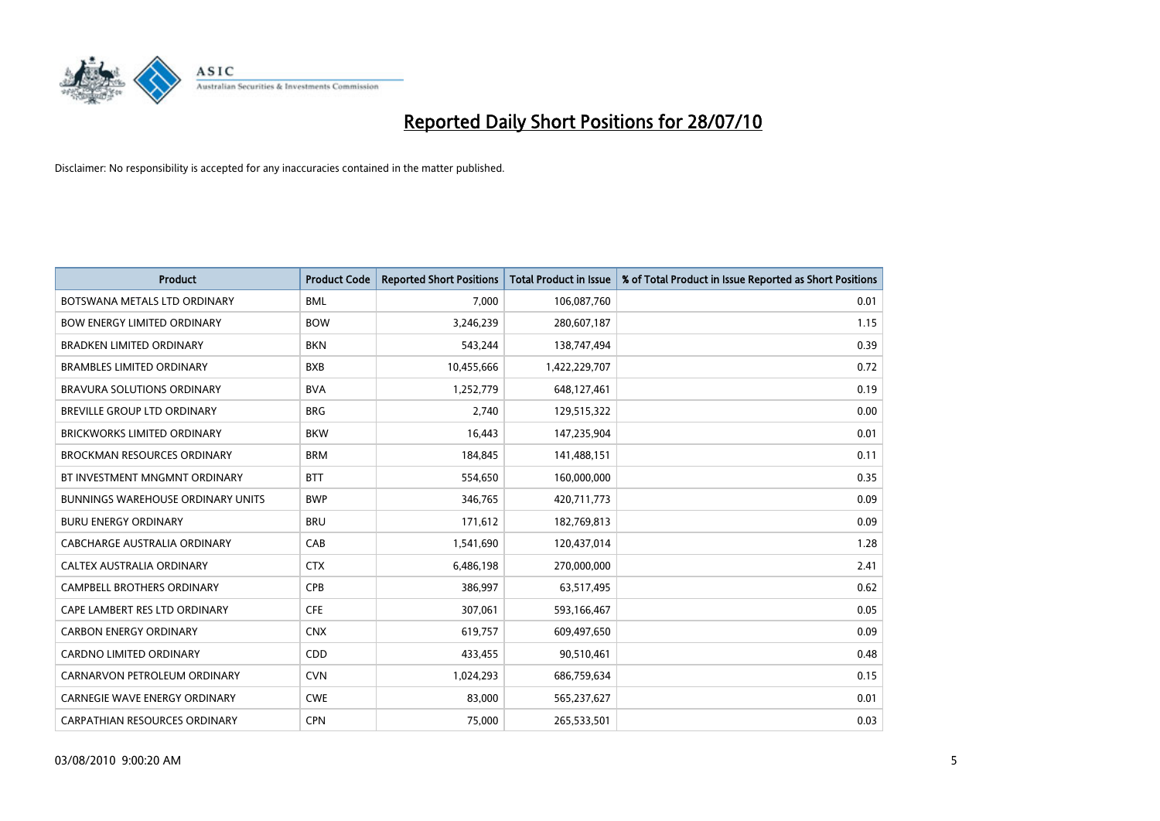

| <b>Product</b>                           | <b>Product Code</b> | <b>Reported Short Positions</b> | <b>Total Product in Issue</b> | % of Total Product in Issue Reported as Short Positions |
|------------------------------------------|---------------------|---------------------------------|-------------------------------|---------------------------------------------------------|
| BOTSWANA METALS LTD ORDINARY             | <b>BML</b>          | 7,000                           | 106,087,760                   | 0.01                                                    |
| <b>BOW ENERGY LIMITED ORDINARY</b>       | <b>BOW</b>          | 3,246,239                       | 280,607,187                   | 1.15                                                    |
| <b>BRADKEN LIMITED ORDINARY</b>          | <b>BKN</b>          | 543,244                         | 138,747,494                   | 0.39                                                    |
| <b>BRAMBLES LIMITED ORDINARY</b>         | <b>BXB</b>          | 10,455,666                      | 1,422,229,707                 | 0.72                                                    |
| BRAVURA SOLUTIONS ORDINARY               | <b>BVA</b>          | 1,252,779                       | 648,127,461                   | 0.19                                                    |
| BREVILLE GROUP LTD ORDINARY              | <b>BRG</b>          | 2,740                           | 129,515,322                   | 0.00                                                    |
| <b>BRICKWORKS LIMITED ORDINARY</b>       | <b>BKW</b>          | 16,443                          | 147,235,904                   | 0.01                                                    |
| BROCKMAN RESOURCES ORDINARY              | <b>BRM</b>          | 184,845                         | 141,488,151                   | 0.11                                                    |
| BT INVESTMENT MNGMNT ORDINARY            | <b>BTT</b>          | 554,650                         | 160,000,000                   | 0.35                                                    |
| <b>BUNNINGS WAREHOUSE ORDINARY UNITS</b> | <b>BWP</b>          | 346,765                         | 420,711,773                   | 0.09                                                    |
| <b>BURU ENERGY ORDINARY</b>              | <b>BRU</b>          | 171,612                         | 182,769,813                   | 0.09                                                    |
| CABCHARGE AUSTRALIA ORDINARY             | CAB                 | 1,541,690                       | 120,437,014                   | 1.28                                                    |
| CALTEX AUSTRALIA ORDINARY                | <b>CTX</b>          | 6,486,198                       | 270,000,000                   | 2.41                                                    |
| <b>CAMPBELL BROTHERS ORDINARY</b>        | <b>CPB</b>          | 386,997                         | 63,517,495                    | 0.62                                                    |
| CAPE LAMBERT RES LTD ORDINARY            | <b>CFE</b>          | 307,061                         | 593,166,467                   | 0.05                                                    |
| <b>CARBON ENERGY ORDINARY</b>            | <b>CNX</b>          | 619,757                         | 609,497,650                   | 0.09                                                    |
| CARDNO LIMITED ORDINARY                  | CDD                 | 433,455                         | 90,510,461                    | 0.48                                                    |
| CARNARVON PETROLEUM ORDINARY             | <b>CVN</b>          | 1,024,293                       | 686,759,634                   | 0.15                                                    |
| <b>CARNEGIE WAVE ENERGY ORDINARY</b>     | <b>CWE</b>          | 83,000                          | 565,237,627                   | 0.01                                                    |
| <b>CARPATHIAN RESOURCES ORDINARY</b>     | <b>CPN</b>          | 75,000                          | 265,533,501                   | 0.03                                                    |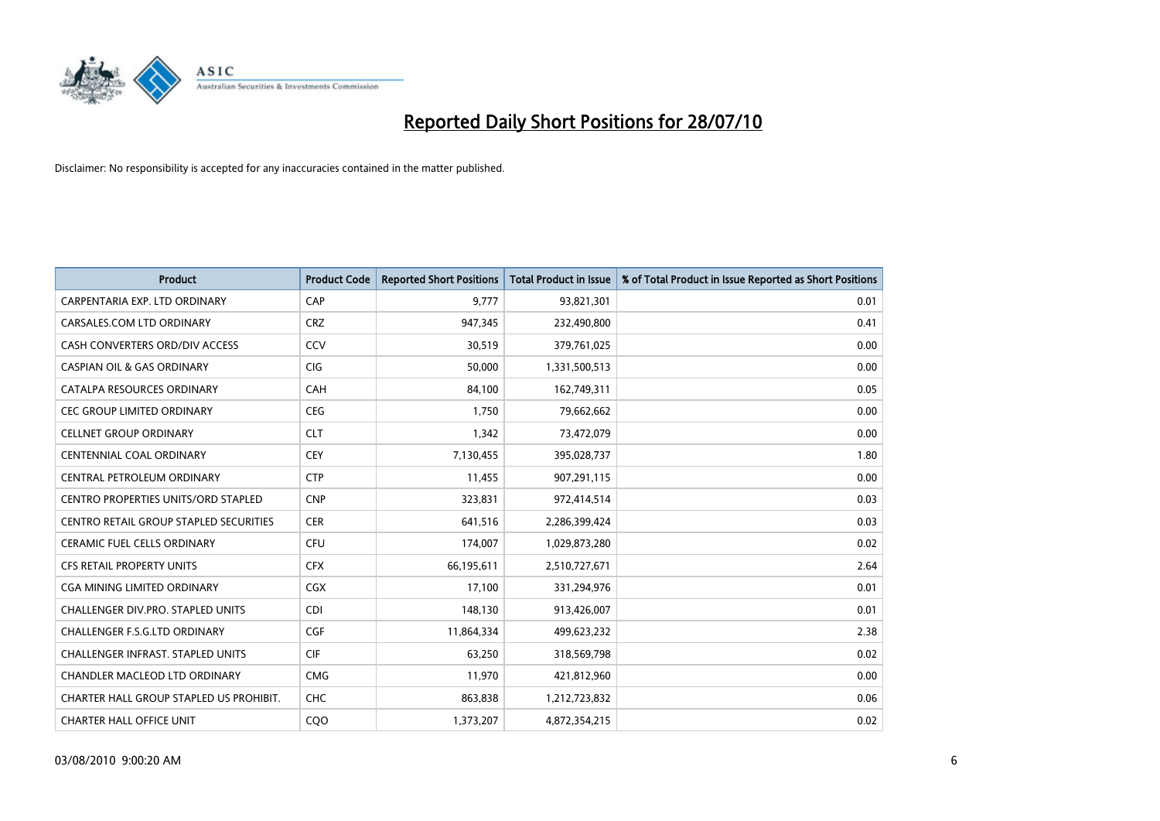

| <b>Product</b>                                | <b>Product Code</b> | <b>Reported Short Positions</b> | <b>Total Product in Issue</b> | % of Total Product in Issue Reported as Short Positions |
|-----------------------------------------------|---------------------|---------------------------------|-------------------------------|---------------------------------------------------------|
| CARPENTARIA EXP. LTD ORDINARY                 | CAP                 | 9,777                           | 93,821,301                    | 0.01                                                    |
| CARSALES.COM LTD ORDINARY                     | <b>CRZ</b>          | 947,345                         | 232,490,800                   | 0.41                                                    |
| CASH CONVERTERS ORD/DIV ACCESS                | CCV                 | 30,519                          | 379,761,025                   | 0.00                                                    |
| <b>CASPIAN OIL &amp; GAS ORDINARY</b>         | CIG                 | 50,000                          | 1,331,500,513                 | 0.00                                                    |
| CATALPA RESOURCES ORDINARY                    | CAH                 | 84,100                          | 162,749,311                   | 0.05                                                    |
| <b>CEC GROUP LIMITED ORDINARY</b>             | <b>CEG</b>          | 1,750                           | 79,662,662                    | 0.00                                                    |
| <b>CELLNET GROUP ORDINARY</b>                 | <b>CLT</b>          | 1,342                           | 73,472,079                    | 0.00                                                    |
| CENTENNIAL COAL ORDINARY                      | CEY                 | 7,130,455                       | 395,028,737                   | 1.80                                                    |
| CENTRAL PETROLEUM ORDINARY                    | <b>CTP</b>          | 11,455                          | 907,291,115                   | 0.00                                                    |
| <b>CENTRO PROPERTIES UNITS/ORD STAPLED</b>    | <b>CNP</b>          | 323,831                         | 972,414,514                   | 0.03                                                    |
| <b>CENTRO RETAIL GROUP STAPLED SECURITIES</b> | <b>CER</b>          | 641,516                         | 2,286,399,424                 | 0.03                                                    |
| <b>CERAMIC FUEL CELLS ORDINARY</b>            | CFU                 | 174,007                         | 1,029,873,280                 | 0.02                                                    |
| <b>CFS RETAIL PROPERTY UNITS</b>              | <b>CFX</b>          | 66,195,611                      | 2,510,727,671                 | 2.64                                                    |
| <b>CGA MINING LIMITED ORDINARY</b>            | CGX                 | 17,100                          | 331,294,976                   | 0.01                                                    |
| <b>CHALLENGER DIV.PRO. STAPLED UNITS</b>      | CDI                 | 148,130                         | 913,426,007                   | 0.01                                                    |
| CHALLENGER F.S.G.LTD ORDINARY                 | CGF                 | 11,864,334                      | 499,623,232                   | 2.38                                                    |
| <b>CHALLENGER INFRAST, STAPLED UNITS</b>      | <b>CIF</b>          | 63,250                          | 318,569,798                   | 0.02                                                    |
| CHANDLER MACLEOD LTD ORDINARY                 | <b>CMG</b>          | 11,970                          | 421,812,960                   | 0.00                                                    |
| CHARTER HALL GROUP STAPLED US PROHIBIT.       | <b>CHC</b>          | 863,838                         | 1,212,723,832                 | 0.06                                                    |
| <b>CHARTER HALL OFFICE UNIT</b>               | COO                 | 1,373,207                       | 4,872,354,215                 | 0.02                                                    |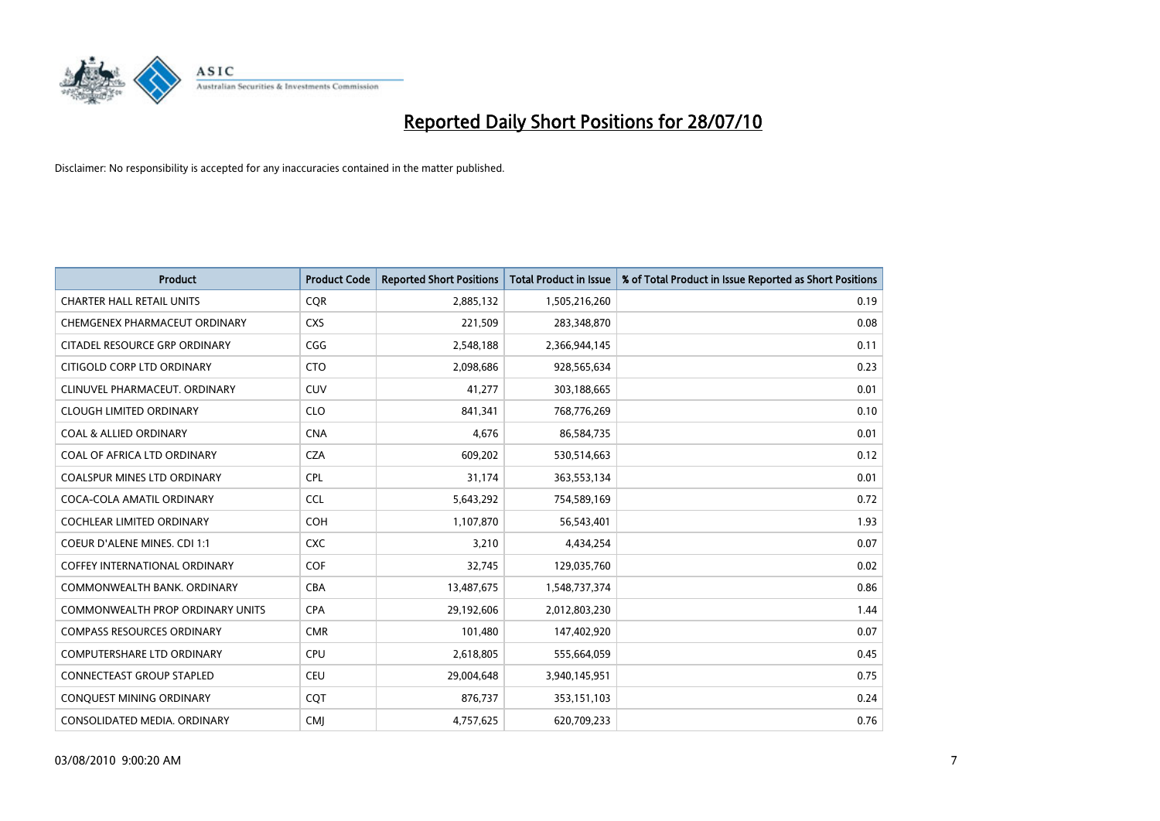

| <b>Product</b>                       | <b>Product Code</b> | <b>Reported Short Positions</b> | <b>Total Product in Issue</b> | % of Total Product in Issue Reported as Short Positions |
|--------------------------------------|---------------------|---------------------------------|-------------------------------|---------------------------------------------------------|
| <b>CHARTER HALL RETAIL UNITS</b>     | <b>CQR</b>          | 2,885,132                       | 1,505,216,260                 | 0.19                                                    |
| CHEMGENEX PHARMACEUT ORDINARY        | <b>CXS</b>          | 221,509                         | 283,348,870                   | 0.08                                                    |
| CITADEL RESOURCE GRP ORDINARY        | CGG                 | 2,548,188                       | 2,366,944,145                 | 0.11                                                    |
| CITIGOLD CORP LTD ORDINARY           | <b>CTO</b>          | 2,098,686                       | 928,565,634                   | 0.23                                                    |
| CLINUVEL PHARMACEUT, ORDINARY        | <b>CUV</b>          | 41,277                          | 303,188,665                   | 0.01                                                    |
| <b>CLOUGH LIMITED ORDINARY</b>       | <b>CLO</b>          | 841.341                         | 768,776,269                   | 0.10                                                    |
| <b>COAL &amp; ALLIED ORDINARY</b>    | <b>CNA</b>          | 4,676                           | 86,584,735                    | 0.01                                                    |
| COAL OF AFRICA LTD ORDINARY          | <b>CZA</b>          | 609,202                         | 530,514,663                   | 0.12                                                    |
| COALSPUR MINES LTD ORDINARY          | <b>CPL</b>          | 31,174                          | 363,553,134                   | 0.01                                                    |
| COCA-COLA AMATIL ORDINARY            | <b>CCL</b>          | 5,643,292                       | 754,589,169                   | 0.72                                                    |
| <b>COCHLEAR LIMITED ORDINARY</b>     | COH                 | 1,107,870                       | 56,543,401                    | 1.93                                                    |
| COEUR D'ALENE MINES. CDI 1:1         | <b>CXC</b>          | 3,210                           | 4,434,254                     | 0.07                                                    |
| <b>COFFEY INTERNATIONAL ORDINARY</b> | <b>COF</b>          | 32,745                          | 129,035,760                   | 0.02                                                    |
| COMMONWEALTH BANK, ORDINARY          | <b>CBA</b>          | 13,487,675                      | 1,548,737,374                 | 0.86                                                    |
| COMMONWEALTH PROP ORDINARY UNITS     | <b>CPA</b>          | 29,192,606                      | 2,012,803,230                 | 1.44                                                    |
| <b>COMPASS RESOURCES ORDINARY</b>    | <b>CMR</b>          | 101,480                         | 147,402,920                   | 0.07                                                    |
| <b>COMPUTERSHARE LTD ORDINARY</b>    | <b>CPU</b>          | 2,618,805                       | 555,664,059                   | 0.45                                                    |
| <b>CONNECTEAST GROUP STAPLED</b>     | CEU                 | 29,004,648                      | 3,940,145,951                 | 0.75                                                    |
| CONQUEST MINING ORDINARY             | COT                 | 876,737                         | 353,151,103                   | 0.24                                                    |
| CONSOLIDATED MEDIA. ORDINARY         | <b>CMI</b>          | 4,757,625                       | 620,709,233                   | 0.76                                                    |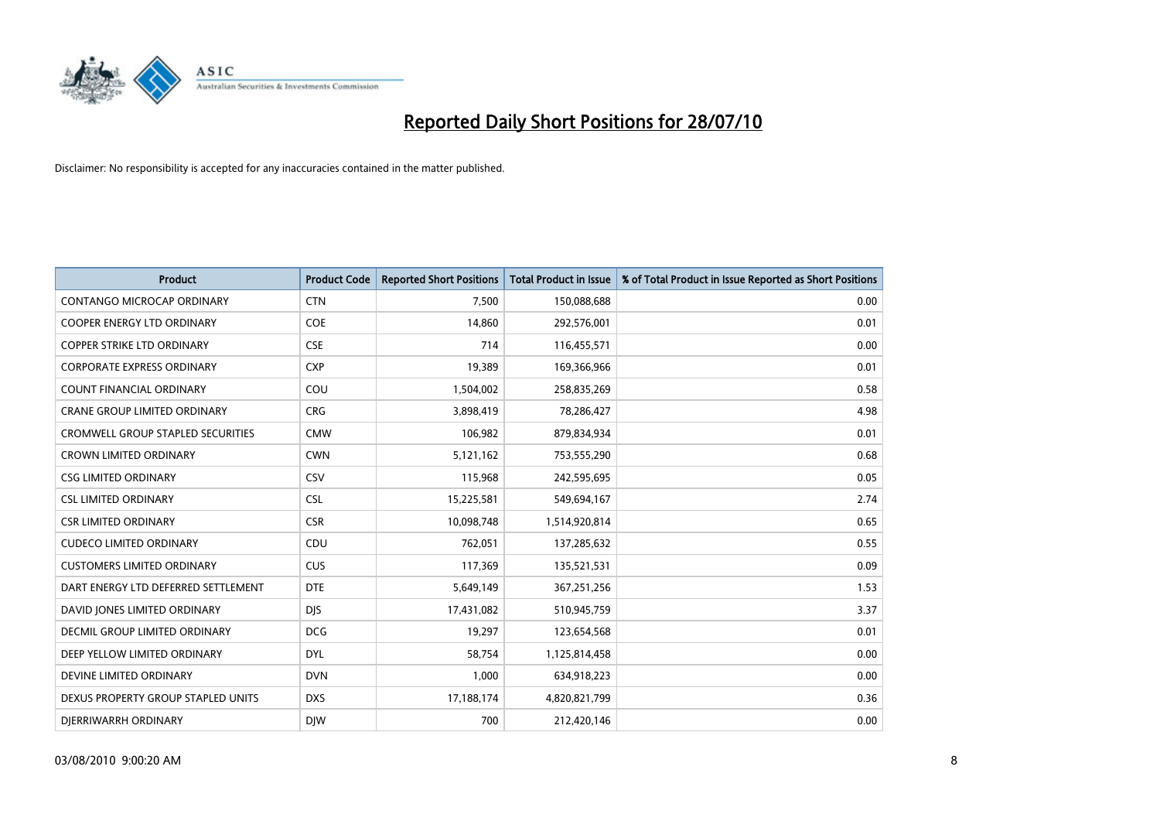

| <b>Product</b>                           | <b>Product Code</b> | <b>Reported Short Positions</b> | Total Product in Issue | % of Total Product in Issue Reported as Short Positions |
|------------------------------------------|---------------------|---------------------------------|------------------------|---------------------------------------------------------|
| CONTANGO MICROCAP ORDINARY               | <b>CTN</b>          | 7,500                           | 150,088,688            | 0.00                                                    |
| COOPER ENERGY LTD ORDINARY               | <b>COE</b>          | 14,860                          | 292,576,001            | 0.01                                                    |
| <b>COPPER STRIKE LTD ORDINARY</b>        | <b>CSE</b>          | 714                             | 116,455,571            | 0.00                                                    |
| <b>CORPORATE EXPRESS ORDINARY</b>        | <b>CXP</b>          | 19,389                          | 169,366,966            | 0.01                                                    |
| <b>COUNT FINANCIAL ORDINARY</b>          | COU                 | 1,504,002                       | 258,835,269            | 0.58                                                    |
| <b>CRANE GROUP LIMITED ORDINARY</b>      | <b>CRG</b>          | 3,898,419                       | 78,286,427             | 4.98                                                    |
| <b>CROMWELL GROUP STAPLED SECURITIES</b> | <b>CMW</b>          | 106,982                         | 879,834,934            | 0.01                                                    |
| <b>CROWN LIMITED ORDINARY</b>            | <b>CWN</b>          | 5,121,162                       | 753,555,290            | 0.68                                                    |
| <b>CSG LIMITED ORDINARY</b>              | CSV                 | 115,968                         | 242,595,695            | 0.05                                                    |
| <b>CSL LIMITED ORDINARY</b>              | <b>CSL</b>          | 15,225,581                      | 549,694,167            | 2.74                                                    |
| <b>CSR LIMITED ORDINARY</b>              | <b>CSR</b>          | 10,098,748                      | 1,514,920,814          | 0.65                                                    |
| <b>CUDECO LIMITED ORDINARY</b>           | CDU                 | 762,051                         | 137,285,632            | 0.55                                                    |
| <b>CUSTOMERS LIMITED ORDINARY</b>        | CUS                 | 117,369                         | 135,521,531            | 0.09                                                    |
| DART ENERGY LTD DEFERRED SETTLEMENT      | <b>DTE</b>          | 5,649,149                       | 367,251,256            | 1.53                                                    |
| DAVID JONES LIMITED ORDINARY             | <b>DJS</b>          | 17,431,082                      | 510,945,759            | 3.37                                                    |
| DECMIL GROUP LIMITED ORDINARY            | <b>DCG</b>          | 19,297                          | 123,654,568            | 0.01                                                    |
| DEEP YELLOW LIMITED ORDINARY             | <b>DYL</b>          | 58,754                          | 1,125,814,458          | 0.00                                                    |
| DEVINE LIMITED ORDINARY                  | <b>DVN</b>          | 1,000                           | 634,918,223            | 0.00                                                    |
| DEXUS PROPERTY GROUP STAPLED UNITS       | <b>DXS</b>          | 17,188,174                      | 4,820,821,799          | 0.36                                                    |
| DIERRIWARRH ORDINARY                     | <b>DIW</b>          | 700                             | 212,420,146            | 0.00                                                    |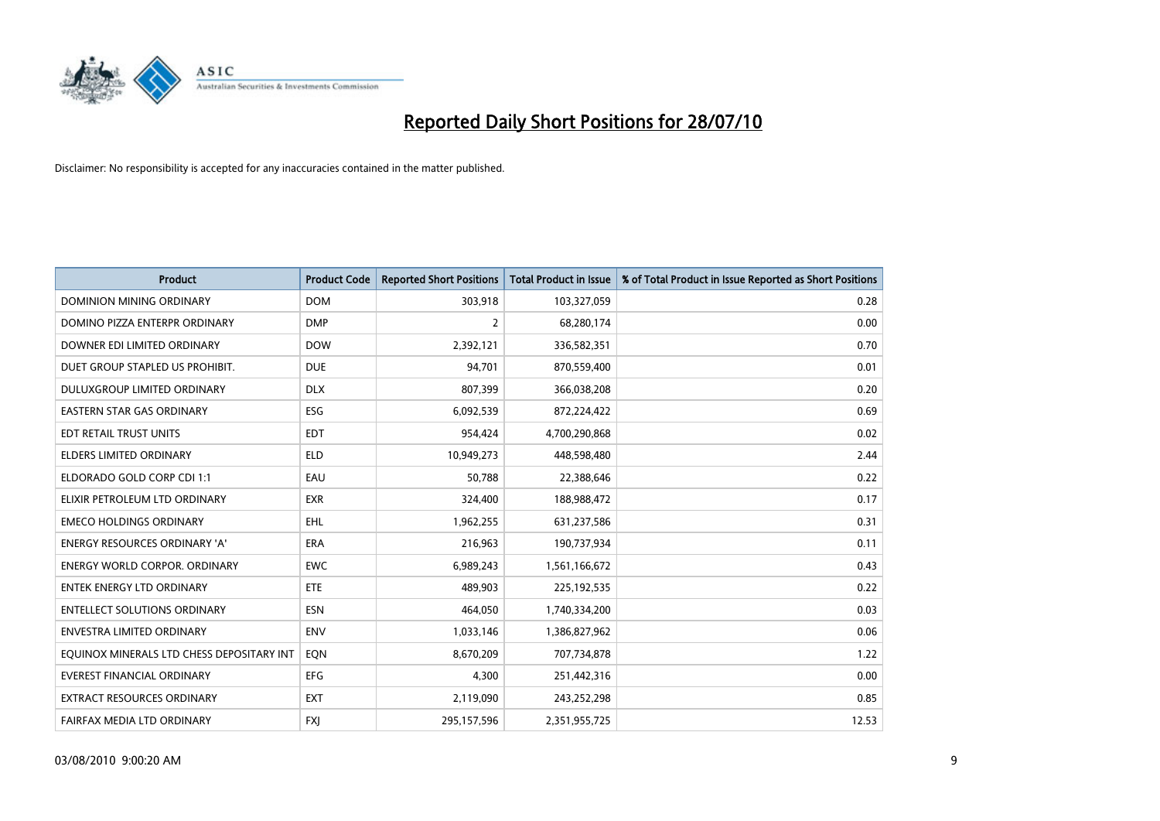

| <b>Product</b>                            | <b>Product Code</b> | <b>Reported Short Positions</b> | <b>Total Product in Issue</b> | % of Total Product in Issue Reported as Short Positions |
|-------------------------------------------|---------------------|---------------------------------|-------------------------------|---------------------------------------------------------|
| <b>DOMINION MINING ORDINARY</b>           | <b>DOM</b>          | 303,918                         | 103,327,059                   | 0.28                                                    |
| DOMINO PIZZA ENTERPR ORDINARY             | <b>DMP</b>          | 2                               | 68,280,174                    | 0.00                                                    |
| DOWNER EDI LIMITED ORDINARY               | <b>DOW</b>          | 2,392,121                       | 336,582,351                   | 0.70                                                    |
| DUET GROUP STAPLED US PROHIBIT.           | <b>DUE</b>          | 94,701                          | 870,559,400                   | 0.01                                                    |
| DULUXGROUP LIMITED ORDINARY               | <b>DLX</b>          | 807,399                         | 366,038,208                   | 0.20                                                    |
| <b>EASTERN STAR GAS ORDINARY</b>          | ESG                 | 6,092,539                       | 872,224,422                   | 0.69                                                    |
| EDT RETAIL TRUST UNITS                    | <b>EDT</b>          | 954,424                         | 4,700,290,868                 | 0.02                                                    |
| <b>ELDERS LIMITED ORDINARY</b>            | <b>ELD</b>          | 10,949,273                      | 448,598,480                   | 2.44                                                    |
| ELDORADO GOLD CORP CDI 1:1                | EAU                 | 50.788                          | 22,388,646                    | 0.22                                                    |
| ELIXIR PETROLEUM LTD ORDINARY             | <b>EXR</b>          | 324,400                         | 188,988,472                   | 0.17                                                    |
| <b>EMECO HOLDINGS ORDINARY</b>            | EHL                 | 1,962,255                       | 631,237,586                   | 0.31                                                    |
| <b>ENERGY RESOURCES ORDINARY 'A'</b>      | <b>ERA</b>          | 216,963                         | 190,737,934                   | 0.11                                                    |
| <b>ENERGY WORLD CORPOR. ORDINARY</b>      | <b>EWC</b>          | 6,989,243                       | 1,561,166,672                 | 0.43                                                    |
| <b>ENTEK ENERGY LTD ORDINARY</b>          | ETE                 | 489,903                         | 225,192,535                   | 0.22                                                    |
| <b>ENTELLECT SOLUTIONS ORDINARY</b>       | <b>ESN</b>          | 464.050                         | 1,740,334,200                 | 0.03                                                    |
| <b>ENVESTRA LIMITED ORDINARY</b>          | <b>ENV</b>          | 1,033,146                       | 1,386,827,962                 | 0.06                                                    |
| EQUINOX MINERALS LTD CHESS DEPOSITARY INT | EON                 | 8,670,209                       | 707,734,878                   | 1.22                                                    |
| <b>EVEREST FINANCIAL ORDINARY</b>         | <b>EFG</b>          | 4,300                           | 251,442,316                   | 0.00                                                    |
| EXTRACT RESOURCES ORDINARY                | <b>EXT</b>          | 2,119,090                       | 243,252,298                   | 0.85                                                    |
| FAIRFAX MEDIA LTD ORDINARY                | <b>FXI</b>          | 295,157,596                     | 2,351,955,725                 | 12.53                                                   |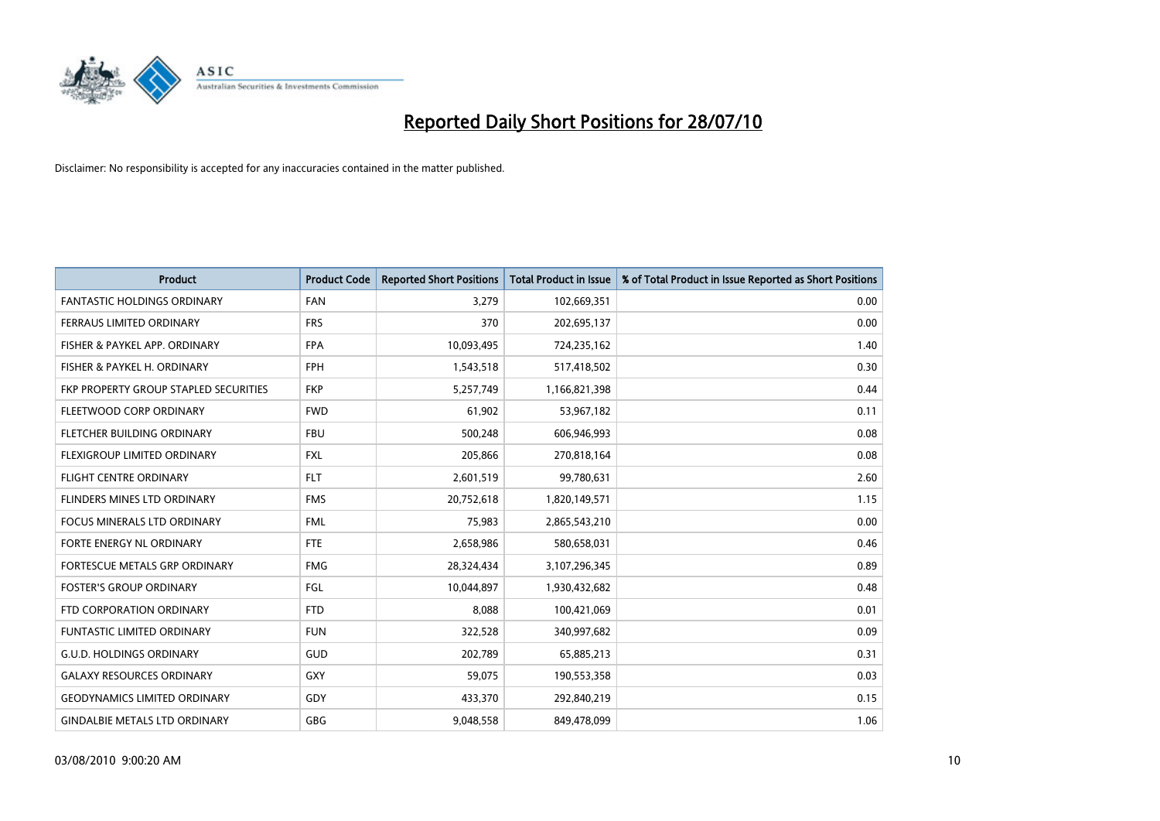

| <b>Product</b>                        | <b>Product Code</b> | <b>Reported Short Positions</b> | <b>Total Product in Issue</b> | % of Total Product in Issue Reported as Short Positions |
|---------------------------------------|---------------------|---------------------------------|-------------------------------|---------------------------------------------------------|
| <b>FANTASTIC HOLDINGS ORDINARY</b>    | <b>FAN</b>          | 3,279                           | 102,669,351                   | 0.00                                                    |
| FERRAUS LIMITED ORDINARY              | <b>FRS</b>          | 370                             | 202,695,137                   | 0.00                                                    |
| FISHER & PAYKEL APP. ORDINARY         | <b>FPA</b>          | 10,093,495                      | 724,235,162                   | 1.40                                                    |
| FISHER & PAYKEL H. ORDINARY           | <b>FPH</b>          | 1,543,518                       | 517,418,502                   | 0.30                                                    |
| FKP PROPERTY GROUP STAPLED SECURITIES | <b>FKP</b>          | 5,257,749                       | 1,166,821,398                 | 0.44                                                    |
| FLEETWOOD CORP ORDINARY               | <b>FWD</b>          | 61,902                          | 53,967,182                    | 0.11                                                    |
| <b>FLETCHER BUILDING ORDINARY</b>     | <b>FBU</b>          | 500,248                         | 606,946,993                   | 0.08                                                    |
| FLEXIGROUP LIMITED ORDINARY           | <b>FXL</b>          | 205,866                         | 270,818,164                   | 0.08                                                    |
| <b>FLIGHT CENTRE ORDINARY</b>         | <b>FLT</b>          | 2,601,519                       | 99,780,631                    | 2.60                                                    |
| FLINDERS MINES LTD ORDINARY           | <b>FMS</b>          | 20,752,618                      | 1,820,149,571                 | 1.15                                                    |
| FOCUS MINERALS LTD ORDINARY           | <b>FML</b>          | 75,983                          | 2,865,543,210                 | 0.00                                                    |
| FORTE ENERGY NL ORDINARY              | <b>FTE</b>          | 2,658,986                       | 580,658,031                   | 0.46                                                    |
| FORTESCUE METALS GRP ORDINARY         | <b>FMG</b>          | 28,324,434                      | 3,107,296,345                 | 0.89                                                    |
| <b>FOSTER'S GROUP ORDINARY</b>        | FGL                 | 10,044,897                      | 1,930,432,682                 | 0.48                                                    |
| FTD CORPORATION ORDINARY              | <b>FTD</b>          | 8,088                           | 100,421,069                   | 0.01                                                    |
| <b>FUNTASTIC LIMITED ORDINARY</b>     | <b>FUN</b>          | 322,528                         | 340,997,682                   | 0.09                                                    |
| <b>G.U.D. HOLDINGS ORDINARY</b>       | GUD                 | 202,789                         | 65,885,213                    | 0.31                                                    |
| <b>GALAXY RESOURCES ORDINARY</b>      | <b>GXY</b>          | 59,075                          | 190,553,358                   | 0.03                                                    |
| <b>GEODYNAMICS LIMITED ORDINARY</b>   | GDY                 | 433,370                         | 292,840,219                   | 0.15                                                    |
| <b>GINDALBIE METALS LTD ORDINARY</b>  | <b>GBG</b>          | 9,048,558                       | 849,478,099                   | 1.06                                                    |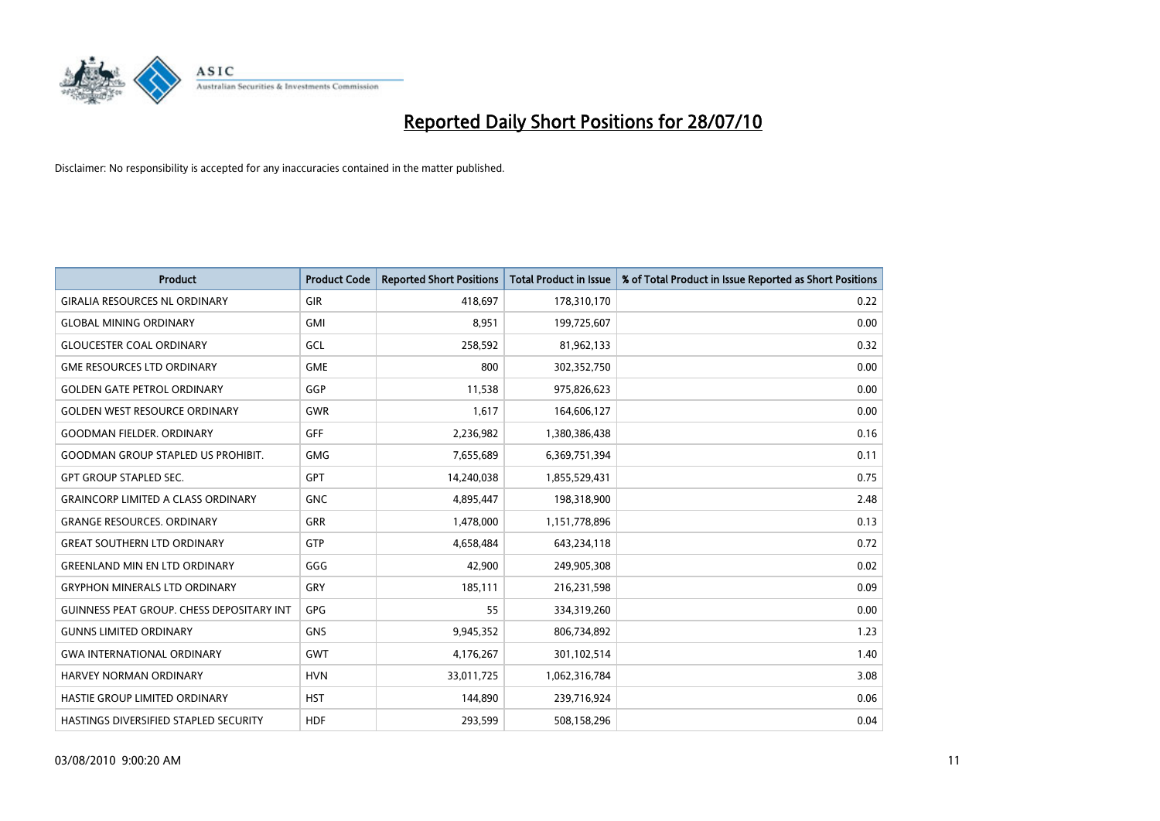

| <b>Product</b>                                   | <b>Product Code</b> | <b>Reported Short Positions</b> | <b>Total Product in Issue</b> | % of Total Product in Issue Reported as Short Positions |
|--------------------------------------------------|---------------------|---------------------------------|-------------------------------|---------------------------------------------------------|
| <b>GIRALIA RESOURCES NL ORDINARY</b>             | GIR                 | 418,697                         | 178,310,170                   | 0.22                                                    |
| <b>GLOBAL MINING ORDINARY</b>                    | <b>GMI</b>          | 8,951                           | 199,725,607                   | 0.00                                                    |
| <b>GLOUCESTER COAL ORDINARY</b>                  | GCL                 | 258,592                         | 81,962,133                    | 0.32                                                    |
| <b>GME RESOURCES LTD ORDINARY</b>                | <b>GME</b>          | 800                             | 302,352,750                   | 0.00                                                    |
| <b>GOLDEN GATE PETROL ORDINARY</b>               | GGP                 | 11,538                          | 975,826,623                   | 0.00                                                    |
| GOLDEN WEST RESOURCE ORDINARY                    | <b>GWR</b>          | 1,617                           | 164,606,127                   | 0.00                                                    |
| <b>GOODMAN FIELDER. ORDINARY</b>                 | <b>GFF</b>          | 2,236,982                       | 1,380,386,438                 | 0.16                                                    |
| <b>GOODMAN GROUP STAPLED US PROHIBIT.</b>        | <b>GMG</b>          | 7,655,689                       | 6,369,751,394                 | 0.11                                                    |
| <b>GPT GROUP STAPLED SEC.</b>                    | GPT                 | 14,240,038                      | 1,855,529,431                 | 0.75                                                    |
| <b>GRAINCORP LIMITED A CLASS ORDINARY</b>        | <b>GNC</b>          | 4,895,447                       | 198,318,900                   | 2.48                                                    |
| <b>GRANGE RESOURCES. ORDINARY</b>                | <b>GRR</b>          | 1,478,000                       | 1,151,778,896                 | 0.13                                                    |
| <b>GREAT SOUTHERN LTD ORDINARY</b>               | GTP                 | 4,658,484                       | 643,234,118                   | 0.72                                                    |
| <b>GREENLAND MIN EN LTD ORDINARY</b>             | GGG                 | 42,900                          | 249,905,308                   | 0.02                                                    |
| <b>GRYPHON MINERALS LTD ORDINARY</b>             | GRY                 | 185,111                         | 216,231,598                   | 0.09                                                    |
| <b>GUINNESS PEAT GROUP. CHESS DEPOSITARY INT</b> | GPG                 | 55                              | 334,319,260                   | 0.00                                                    |
| <b>GUNNS LIMITED ORDINARY</b>                    | <b>GNS</b>          | 9,945,352                       | 806,734,892                   | 1.23                                                    |
| <b>GWA INTERNATIONAL ORDINARY</b>                | GWT                 | 4,176,267                       | 301,102,514                   | 1.40                                                    |
| HARVEY NORMAN ORDINARY                           | <b>HVN</b>          | 33,011,725                      | 1,062,316,784                 | 3.08                                                    |
| HASTIE GROUP LIMITED ORDINARY                    | <b>HST</b>          | 144,890                         | 239,716,924                   | 0.06                                                    |
| <b>HASTINGS DIVERSIFIED STAPLED SECURITY</b>     | <b>HDF</b>          | 293.599                         | 508,158,296                   | 0.04                                                    |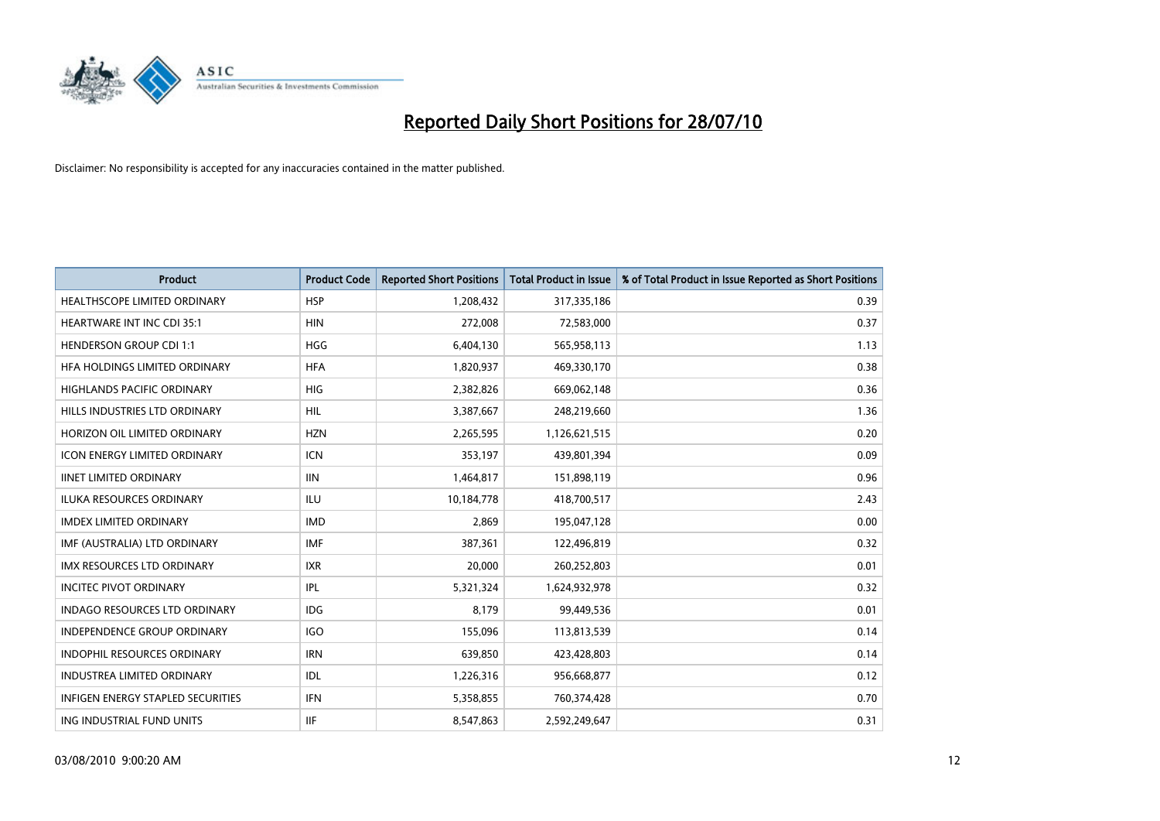

| <b>Product</b>                           | <b>Product Code</b> | <b>Reported Short Positions</b> | Total Product in Issue | % of Total Product in Issue Reported as Short Positions |
|------------------------------------------|---------------------|---------------------------------|------------------------|---------------------------------------------------------|
| HEALTHSCOPE LIMITED ORDINARY             | <b>HSP</b>          | 1,208,432                       | 317,335,186            | 0.39                                                    |
| <b>HEARTWARE INT INC CDI 35:1</b>        | <b>HIN</b>          | 272,008                         | 72,583,000             | 0.37                                                    |
| <b>HENDERSON GROUP CDI 1:1</b>           | <b>HGG</b>          | 6,404,130                       | 565,958,113            | 1.13                                                    |
| HEA HOLDINGS LIMITED ORDINARY            | <b>HFA</b>          | 1,820,937                       | 469,330,170            | 0.38                                                    |
| <b>HIGHLANDS PACIFIC ORDINARY</b>        | <b>HIG</b>          | 2,382,826                       | 669,062,148            | 0.36                                                    |
| HILLS INDUSTRIES LTD ORDINARY            | <b>HIL</b>          | 3,387,667                       | 248,219,660            | 1.36                                                    |
| HORIZON OIL LIMITED ORDINARY             | <b>HZN</b>          | 2,265,595                       | 1,126,621,515          | 0.20                                                    |
| <b>ICON ENERGY LIMITED ORDINARY</b>      | <b>ICN</b>          | 353,197                         | 439,801,394            | 0.09                                                    |
| <b>IINET LIMITED ORDINARY</b>            | <b>IIN</b>          | 1,464,817                       | 151,898,119            | 0.96                                                    |
| <b>ILUKA RESOURCES ORDINARY</b>          | <b>ILU</b>          | 10,184,778                      | 418,700,517            | 2.43                                                    |
| <b>IMDEX LIMITED ORDINARY</b>            | <b>IMD</b>          | 2,869                           | 195,047,128            | 0.00                                                    |
| IMF (AUSTRALIA) LTD ORDINARY             | <b>IMF</b>          | 387,361                         | 122,496,819            | 0.32                                                    |
| IMX RESOURCES LTD ORDINARY               | <b>IXR</b>          | 20,000                          | 260,252,803            | 0.01                                                    |
| <b>INCITEC PIVOT ORDINARY</b>            | IPL                 | 5,321,324                       | 1,624,932,978          | 0.32                                                    |
| <b>INDAGO RESOURCES LTD ORDINARY</b>     | <b>IDG</b>          | 8.179                           | 99,449,536             | 0.01                                                    |
| <b>INDEPENDENCE GROUP ORDINARY</b>       | <b>IGO</b>          | 155,096                         | 113,813,539            | 0.14                                                    |
| INDOPHIL RESOURCES ORDINARY              | <b>IRN</b>          | 639,850                         | 423,428,803            | 0.14                                                    |
| <b>INDUSTREA LIMITED ORDINARY</b>        | IDL                 | 1,226,316                       | 956,668,877            | 0.12                                                    |
| <b>INFIGEN ENERGY STAPLED SECURITIES</b> | <b>IFN</b>          | 5,358,855                       | 760,374,428            | 0.70                                                    |
| ING INDUSTRIAL FUND UNITS                | <b>IIF</b>          | 8,547,863                       | 2,592,249,647          | 0.31                                                    |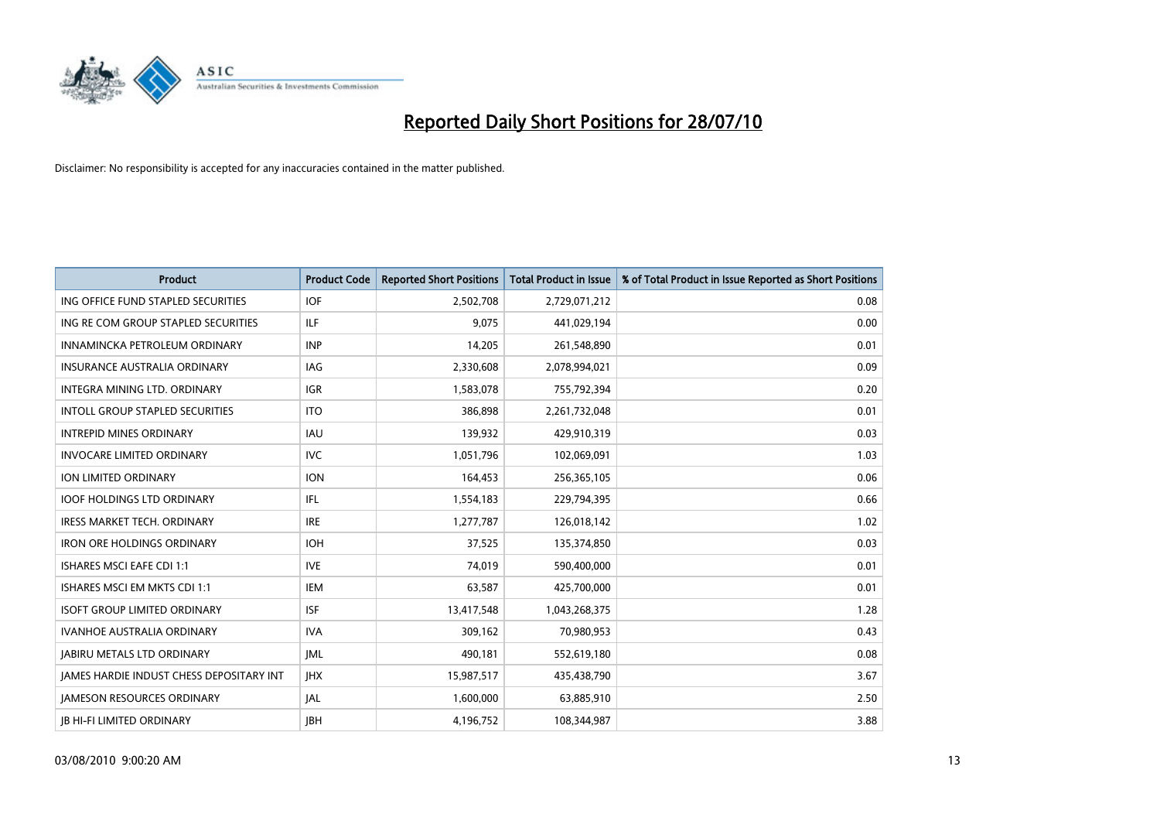

| <b>Product</b>                           | <b>Product Code</b> | <b>Reported Short Positions</b> | <b>Total Product in Issue</b> | % of Total Product in Issue Reported as Short Positions |
|------------------------------------------|---------------------|---------------------------------|-------------------------------|---------------------------------------------------------|
| ING OFFICE FUND STAPLED SECURITIES       | <b>IOF</b>          | 2,502,708                       | 2,729,071,212                 | 0.08                                                    |
| ING RE COM GROUP STAPLED SECURITIES      | <b>ILF</b>          | 9,075                           | 441,029,194                   | 0.00                                                    |
| INNAMINCKA PETROLEUM ORDINARY            | <b>INP</b>          | 14,205                          | 261,548,890                   | 0.01                                                    |
| INSURANCE AUSTRALIA ORDINARY             | IAG                 | 2,330,608                       | 2,078,994,021                 | 0.09                                                    |
| INTEGRA MINING LTD, ORDINARY             | <b>IGR</b>          | 1,583,078                       | 755,792,394                   | 0.20                                                    |
| <b>INTOLL GROUP STAPLED SECURITIES</b>   | <b>ITO</b>          | 386,898                         | 2,261,732,048                 | 0.01                                                    |
| <b>INTREPID MINES ORDINARY</b>           | <b>IAU</b>          | 139,932                         | 429,910,319                   | 0.03                                                    |
| <b>INVOCARE LIMITED ORDINARY</b>         | <b>IVC</b>          | 1,051,796                       | 102,069,091                   | 1.03                                                    |
| ION LIMITED ORDINARY                     | <b>ION</b>          | 164,453                         | 256,365,105                   | 0.06                                                    |
| <b>IOOF HOLDINGS LTD ORDINARY</b>        | IFL                 | 1,554,183                       | 229,794,395                   | 0.66                                                    |
| IRESS MARKET TECH. ORDINARY              | <b>IRE</b>          | 1,277,787                       | 126,018,142                   | 1.02                                                    |
| <b>IRON ORE HOLDINGS ORDINARY</b>        | <b>IOH</b>          | 37,525                          | 135,374,850                   | 0.03                                                    |
| <b>ISHARES MSCI EAFE CDI 1:1</b>         | <b>IVE</b>          | 74,019                          | 590,400,000                   | 0.01                                                    |
| ISHARES MSCI EM MKTS CDI 1:1             | <b>IEM</b>          | 63,587                          | 425,700,000                   | 0.01                                                    |
| <b>ISOFT GROUP LIMITED ORDINARY</b>      | <b>ISF</b>          | 13,417,548                      | 1,043,268,375                 | 1.28                                                    |
| IVANHOE AUSTRALIA ORDINARY               | <b>IVA</b>          | 309,162                         | 70,980,953                    | 0.43                                                    |
| <b>JABIRU METALS LTD ORDINARY</b>        | <b>JML</b>          | 490,181                         | 552,619,180                   | 0.08                                                    |
| JAMES HARDIE INDUST CHESS DEPOSITARY INT | JHX                 | 15,987,517                      | 435,438,790                   | 3.67                                                    |
| <b>IAMESON RESOURCES ORDINARY</b>        | <b>JAL</b>          | 1,600,000                       | 63,885,910                    | 2.50                                                    |
| <b>IB HI-FI LIMITED ORDINARY</b>         | <b>IBH</b>          | 4,196,752                       | 108,344,987                   | 3.88                                                    |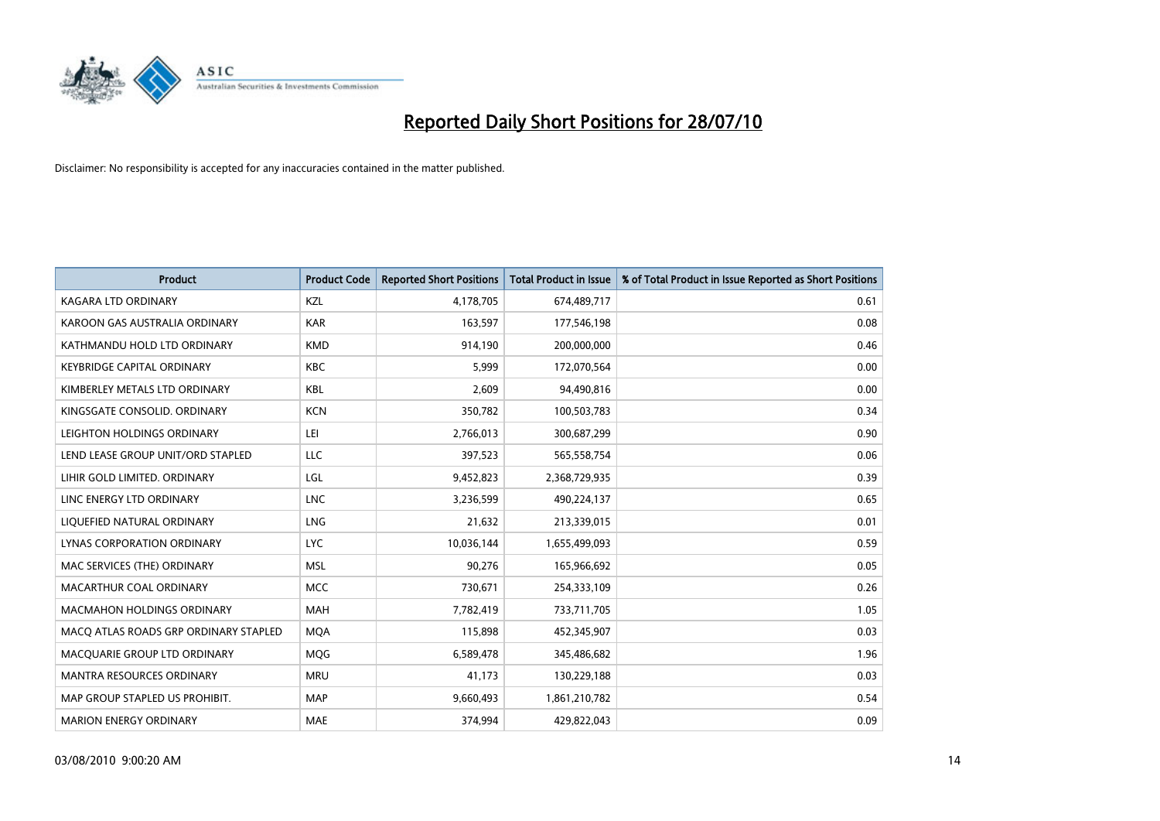

| <b>Product</b>                        | <b>Product Code</b> | <b>Reported Short Positions</b> | <b>Total Product in Issue</b> | % of Total Product in Issue Reported as Short Positions |
|---------------------------------------|---------------------|---------------------------------|-------------------------------|---------------------------------------------------------|
| <b>KAGARA LTD ORDINARY</b>            | KZL                 | 4,178,705                       | 674,489,717                   | 0.61                                                    |
| KAROON GAS AUSTRALIA ORDINARY         | <b>KAR</b>          | 163,597                         | 177,546,198                   | 0.08                                                    |
| KATHMANDU HOLD LTD ORDINARY           | <b>KMD</b>          | 914,190                         | 200,000,000                   | 0.46                                                    |
| <b>KEYBRIDGE CAPITAL ORDINARY</b>     | <b>KBC</b>          | 5,999                           | 172,070,564                   | 0.00                                                    |
| KIMBERLEY METALS LTD ORDINARY         | <b>KBL</b>          | 2,609                           | 94,490,816                    | 0.00                                                    |
| KINGSGATE CONSOLID, ORDINARY          | <b>KCN</b>          | 350,782                         | 100,503,783                   | 0.34                                                    |
| LEIGHTON HOLDINGS ORDINARY            | LEI                 | 2,766,013                       | 300,687,299                   | 0.90                                                    |
| LEND LEASE GROUP UNIT/ORD STAPLED     | LLC                 | 397,523                         | 565,558,754                   | 0.06                                                    |
| LIHIR GOLD LIMITED. ORDINARY          | LGL                 | 9,452,823                       | 2,368,729,935                 | 0.39                                                    |
| LINC ENERGY LTD ORDINARY              | <b>LNC</b>          | 3,236,599                       | 490,224,137                   | 0.65                                                    |
| LIQUEFIED NATURAL ORDINARY            | LNG                 | 21,632                          | 213,339,015                   | 0.01                                                    |
| <b>LYNAS CORPORATION ORDINARY</b>     | <b>LYC</b>          | 10,036,144                      | 1,655,499,093                 | 0.59                                                    |
| MAC SERVICES (THE) ORDINARY           | <b>MSL</b>          | 90,276                          | 165,966,692                   | 0.05                                                    |
| MACARTHUR COAL ORDINARY               | <b>MCC</b>          | 730,671                         | 254,333,109                   | 0.26                                                    |
| <b>MACMAHON HOLDINGS ORDINARY</b>     | <b>MAH</b>          | 7,782,419                       | 733,711,705                   | 1.05                                                    |
| MACO ATLAS ROADS GRP ORDINARY STAPLED | <b>MOA</b>          | 115,898                         | 452,345,907                   | 0.03                                                    |
| MACQUARIE GROUP LTD ORDINARY          | <b>MQG</b>          | 6,589,478                       | 345,486,682                   | 1.96                                                    |
| MANTRA RESOURCES ORDINARY             | <b>MRU</b>          | 41,173                          | 130,229,188                   | 0.03                                                    |
| MAP GROUP STAPLED US PROHIBIT.        | <b>MAP</b>          | 9,660,493                       | 1,861,210,782                 | 0.54                                                    |
| <b>MARION ENERGY ORDINARY</b>         | MAE                 | 374,994                         | 429,822,043                   | 0.09                                                    |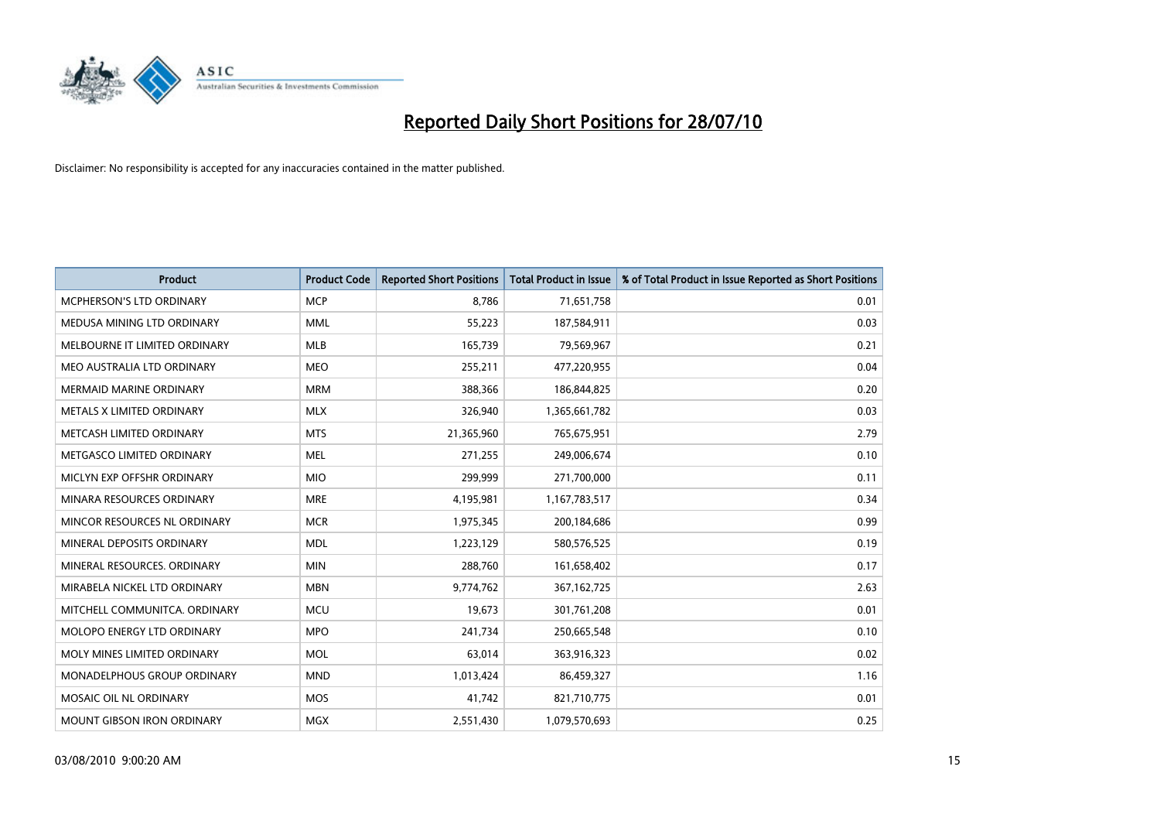

| <b>Product</b>                    | <b>Product Code</b> | <b>Reported Short Positions</b> | <b>Total Product in Issue</b> | % of Total Product in Issue Reported as Short Positions |
|-----------------------------------|---------------------|---------------------------------|-------------------------------|---------------------------------------------------------|
| <b>MCPHERSON'S LTD ORDINARY</b>   | <b>MCP</b>          | 8.786                           | 71,651,758                    | 0.01                                                    |
| MEDUSA MINING LTD ORDINARY        | <b>MML</b>          | 55,223                          | 187,584,911                   | 0.03                                                    |
| MELBOURNE IT LIMITED ORDINARY     | <b>MLB</b>          | 165,739                         | 79,569,967                    | 0.21                                                    |
| MEO AUSTRALIA LTD ORDINARY        | <b>MEO</b>          | 255,211                         | 477,220,955                   | 0.04                                                    |
| <b>MERMAID MARINE ORDINARY</b>    | <b>MRM</b>          | 388,366                         | 186,844,825                   | 0.20                                                    |
| METALS X LIMITED ORDINARY         | <b>MLX</b>          | 326,940                         | 1,365,661,782                 | 0.03                                                    |
| METCASH LIMITED ORDINARY          | <b>MTS</b>          | 21,365,960                      | 765,675,951                   | 2.79                                                    |
| METGASCO LIMITED ORDINARY         | <b>MEL</b>          | 271,255                         | 249,006,674                   | 0.10                                                    |
| MICLYN EXP OFFSHR ORDINARY        | <b>MIO</b>          | 299,999                         | 271,700,000                   | 0.11                                                    |
| MINARA RESOURCES ORDINARY         | <b>MRE</b>          | 4,195,981                       | 1,167,783,517                 | 0.34                                                    |
| MINCOR RESOURCES NL ORDINARY      | <b>MCR</b>          | 1,975,345                       | 200,184,686                   | 0.99                                                    |
| MINERAL DEPOSITS ORDINARY         | <b>MDL</b>          | 1,223,129                       | 580,576,525                   | 0.19                                                    |
| MINERAL RESOURCES, ORDINARY       | <b>MIN</b>          | 288,760                         | 161,658,402                   | 0.17                                                    |
| MIRABELA NICKEL LTD ORDINARY      | <b>MBN</b>          | 9,774,762                       | 367,162,725                   | 2.63                                                    |
| MITCHELL COMMUNITCA, ORDINARY     | <b>MCU</b>          | 19,673                          | 301,761,208                   | 0.01                                                    |
| MOLOPO ENERGY LTD ORDINARY        | <b>MPO</b>          | 241,734                         | 250,665,548                   | 0.10                                                    |
| MOLY MINES LIMITED ORDINARY       | <b>MOL</b>          | 63,014                          | 363,916,323                   | 0.02                                                    |
| MONADELPHOUS GROUP ORDINARY       | <b>MND</b>          | 1,013,424                       | 86,459,327                    | 1.16                                                    |
| MOSAIC OIL NL ORDINARY            | <b>MOS</b>          | 41.742                          | 821,710,775                   | 0.01                                                    |
| <b>MOUNT GIBSON IRON ORDINARY</b> | <b>MGX</b>          | 2,551,430                       | 1,079,570,693                 | 0.25                                                    |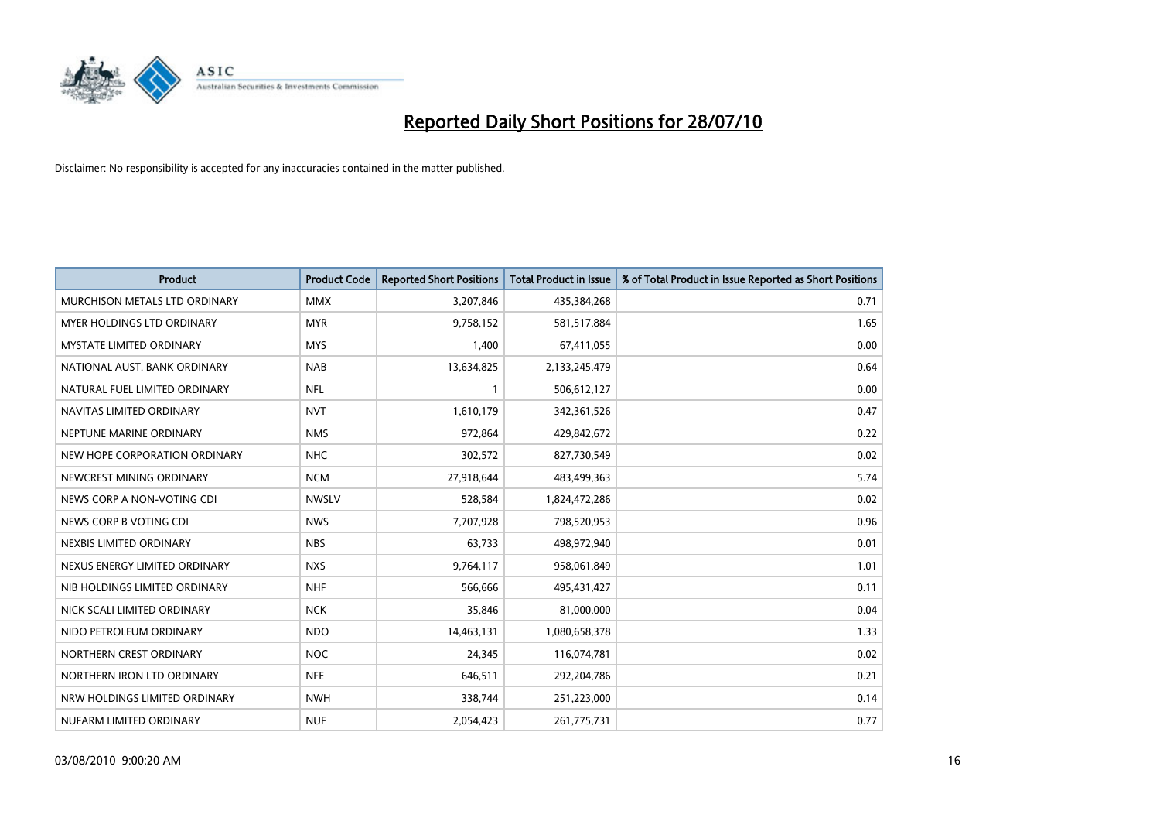

| <b>Product</b>                  | <b>Product Code</b> | <b>Reported Short Positions</b> | Total Product in Issue | % of Total Product in Issue Reported as Short Positions |
|---------------------------------|---------------------|---------------------------------|------------------------|---------------------------------------------------------|
| MURCHISON METALS LTD ORDINARY   | <b>MMX</b>          | 3,207,846                       | 435,384,268            | 0.71                                                    |
| MYER HOLDINGS LTD ORDINARY      | <b>MYR</b>          | 9,758,152                       | 581,517,884            | 1.65                                                    |
| <b>MYSTATE LIMITED ORDINARY</b> | <b>MYS</b>          | 1,400                           | 67,411,055             | 0.00                                                    |
| NATIONAL AUST. BANK ORDINARY    | <b>NAB</b>          | 13,634,825                      | 2,133,245,479          | 0.64                                                    |
| NATURAL FUEL LIMITED ORDINARY   | <b>NFL</b>          |                                 | 506,612,127            | 0.00                                                    |
| NAVITAS LIMITED ORDINARY        | <b>NVT</b>          | 1,610,179                       | 342,361,526            | 0.47                                                    |
| NEPTUNE MARINE ORDINARY         | <b>NMS</b>          | 972,864                         | 429,842,672            | 0.22                                                    |
| NEW HOPE CORPORATION ORDINARY   | <b>NHC</b>          | 302,572                         | 827,730,549            | 0.02                                                    |
| NEWCREST MINING ORDINARY        | <b>NCM</b>          | 27,918,644                      | 483,499,363            | 5.74                                                    |
| NEWS CORP A NON-VOTING CDI      | <b>NWSLV</b>        | 528,584                         | 1,824,472,286          | 0.02                                                    |
| NEWS CORP B VOTING CDI          | <b>NWS</b>          | 7,707,928                       | 798,520,953            | 0.96                                                    |
| NEXBIS LIMITED ORDINARY         | <b>NBS</b>          | 63,733                          | 498,972,940            | 0.01                                                    |
| NEXUS ENERGY LIMITED ORDINARY   | <b>NXS</b>          | 9,764,117                       | 958,061,849            | 1.01                                                    |
| NIB HOLDINGS LIMITED ORDINARY   | <b>NHF</b>          | 566,666                         | 495,431,427            | 0.11                                                    |
| NICK SCALI LIMITED ORDINARY     | <b>NCK</b>          | 35,846                          | 81,000,000             | 0.04                                                    |
| NIDO PETROLEUM ORDINARY         | <b>NDO</b>          | 14,463,131                      | 1,080,658,378          | 1.33                                                    |
| NORTHERN CREST ORDINARY         | <b>NOC</b>          | 24,345                          | 116,074,781            | 0.02                                                    |
| NORTHERN IRON LTD ORDINARY      | <b>NFE</b>          | 646,511                         | 292,204,786            | 0.21                                                    |
| NRW HOLDINGS LIMITED ORDINARY   | <b>NWH</b>          | 338,744                         | 251,223,000            | 0.14                                                    |
| NUFARM LIMITED ORDINARY         | <b>NUF</b>          | 2,054,423                       | 261,775,731            | 0.77                                                    |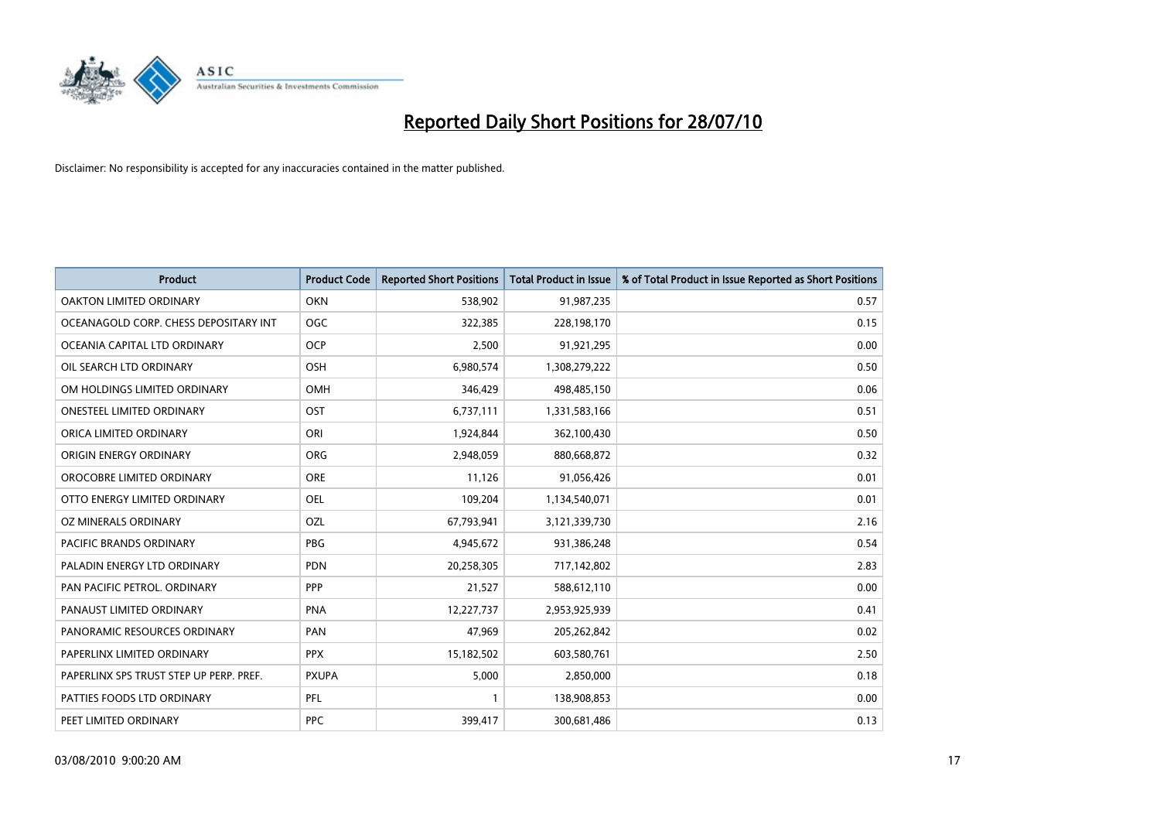

| <b>Product</b>                          | <b>Product Code</b> | <b>Reported Short Positions</b> | <b>Total Product in Issue</b> | % of Total Product in Issue Reported as Short Positions |
|-----------------------------------------|---------------------|---------------------------------|-------------------------------|---------------------------------------------------------|
| <b>OAKTON LIMITED ORDINARY</b>          | <b>OKN</b>          | 538,902                         | 91,987,235                    | 0.57                                                    |
| OCEANAGOLD CORP. CHESS DEPOSITARY INT   | OGC                 | 322,385                         | 228,198,170                   | 0.15                                                    |
| OCEANIA CAPITAL LTD ORDINARY            | <b>OCP</b>          | 2,500                           | 91,921,295                    | 0.00                                                    |
| OIL SEARCH LTD ORDINARY                 | <b>OSH</b>          | 6,980,574                       | 1,308,279,222                 | 0.50                                                    |
| OM HOLDINGS LIMITED ORDINARY            | <b>OMH</b>          | 346,429                         | 498,485,150                   | 0.06                                                    |
| <b>ONESTEEL LIMITED ORDINARY</b>        | OST                 | 6,737,111                       | 1,331,583,166                 | 0.51                                                    |
| ORICA LIMITED ORDINARY                  | ORI                 | 1,924,844                       | 362,100,430                   | 0.50                                                    |
| ORIGIN ENERGY ORDINARY                  | <b>ORG</b>          | 2,948,059                       | 880,668,872                   | 0.32                                                    |
| OROCOBRE LIMITED ORDINARY               | <b>ORE</b>          | 11,126                          | 91,056,426                    | 0.01                                                    |
| OTTO ENERGY LIMITED ORDINARY            | <b>OEL</b>          | 109,204                         | 1,134,540,071                 | 0.01                                                    |
| OZ MINERALS ORDINARY                    | OZL                 | 67,793,941                      | 3,121,339,730                 | 2.16                                                    |
| PACIFIC BRANDS ORDINARY                 | <b>PBG</b>          | 4,945,672                       | 931,386,248                   | 0.54                                                    |
| PALADIN ENERGY LTD ORDINARY             | <b>PDN</b>          | 20,258,305                      | 717,142,802                   | 2.83                                                    |
| PAN PACIFIC PETROL. ORDINARY            | PPP                 | 21,527                          | 588,612,110                   | 0.00                                                    |
| PANAUST LIMITED ORDINARY                | PNA                 | 12,227,737                      | 2,953,925,939                 | 0.41                                                    |
| PANORAMIC RESOURCES ORDINARY            | PAN                 | 47,969                          | 205,262,842                   | 0.02                                                    |
| PAPERLINX LIMITED ORDINARY              | <b>PPX</b>          | 15,182,502                      | 603,580,761                   | 2.50                                                    |
| PAPERLINX SPS TRUST STEP UP PERP. PREF. | <b>PXUPA</b>        | 5,000                           | 2,850,000                     | 0.18                                                    |
| PATTIES FOODS LTD ORDINARY              | PFL                 |                                 | 138,908,853                   | 0.00                                                    |
| PEET LIMITED ORDINARY                   | <b>PPC</b>          | 399,417                         | 300,681,486                   | 0.13                                                    |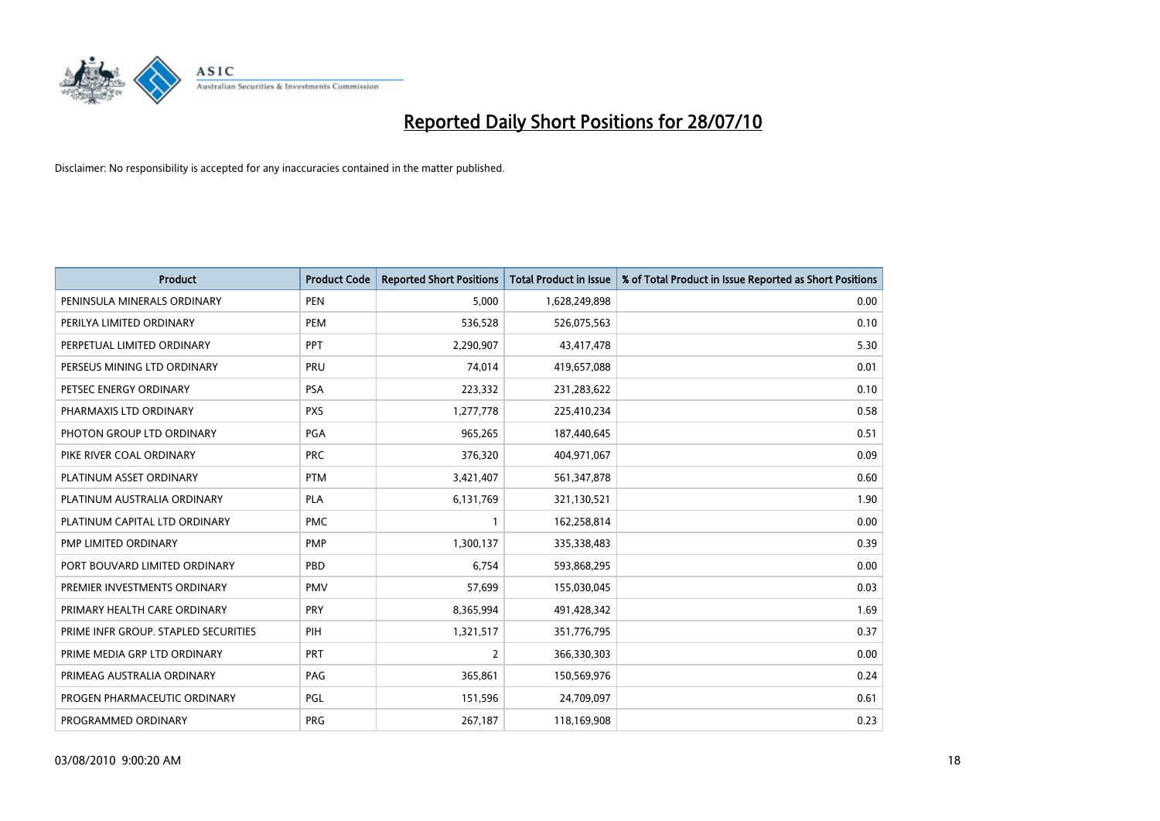

| <b>Product</b>                       | <b>Product Code</b> | <b>Reported Short Positions</b> | <b>Total Product in Issue</b> | % of Total Product in Issue Reported as Short Positions |
|--------------------------------------|---------------------|---------------------------------|-------------------------------|---------------------------------------------------------|
| PENINSULA MINERALS ORDINARY          | <b>PEN</b>          | 5,000                           | 1,628,249,898                 | 0.00                                                    |
| PERILYA LIMITED ORDINARY             | PEM                 | 536,528                         | 526,075,563                   | 0.10                                                    |
| PERPETUAL LIMITED ORDINARY           | PPT                 | 2,290,907                       | 43,417,478                    | 5.30                                                    |
| PERSEUS MINING LTD ORDINARY          | PRU                 | 74,014                          | 419,657,088                   | 0.01                                                    |
| PETSEC ENERGY ORDINARY               | <b>PSA</b>          | 223,332                         | 231,283,622                   | 0.10                                                    |
| PHARMAXIS LTD ORDINARY               | <b>PXS</b>          | 1,277,778                       | 225,410,234                   | 0.58                                                    |
| PHOTON GROUP LTD ORDINARY            | PGA                 | 965,265                         | 187,440,645                   | 0.51                                                    |
| PIKE RIVER COAL ORDINARY             | <b>PRC</b>          | 376,320                         | 404,971,067                   | 0.09                                                    |
| PLATINUM ASSET ORDINARY              | <b>PTM</b>          | 3,421,407                       | 561,347,878                   | 0.60                                                    |
| PLATINUM AUSTRALIA ORDINARY          | <b>PLA</b>          | 6,131,769                       | 321,130,521                   | 1.90                                                    |
| PLATINUM CAPITAL LTD ORDINARY        | <b>PMC</b>          |                                 | 162,258,814                   | 0.00                                                    |
| PMP LIMITED ORDINARY                 | <b>PMP</b>          | 1,300,137                       | 335,338,483                   | 0.39                                                    |
| PORT BOUVARD LIMITED ORDINARY        | PBD                 | 6,754                           | 593,868,295                   | 0.00                                                    |
| PREMIER INVESTMENTS ORDINARY         | <b>PMV</b>          | 57,699                          | 155,030,045                   | 0.03                                                    |
| PRIMARY HEALTH CARE ORDINARY         | <b>PRY</b>          | 8,365,994                       | 491,428,342                   | 1.69                                                    |
| PRIME INFR GROUP. STAPLED SECURITIES | PIH                 | 1,321,517                       | 351,776,795                   | 0.37                                                    |
| PRIME MEDIA GRP LTD ORDINARY         | <b>PRT</b>          | $\overline{2}$                  | 366,330,303                   | 0.00                                                    |
| PRIMEAG AUSTRALIA ORDINARY           | PAG                 | 365,861                         | 150,569,976                   | 0.24                                                    |
| PROGEN PHARMACEUTIC ORDINARY         | <b>PGL</b>          | 151,596                         | 24,709,097                    | 0.61                                                    |
| PROGRAMMED ORDINARY                  | PRG                 | 267,187                         | 118,169,908                   | 0.23                                                    |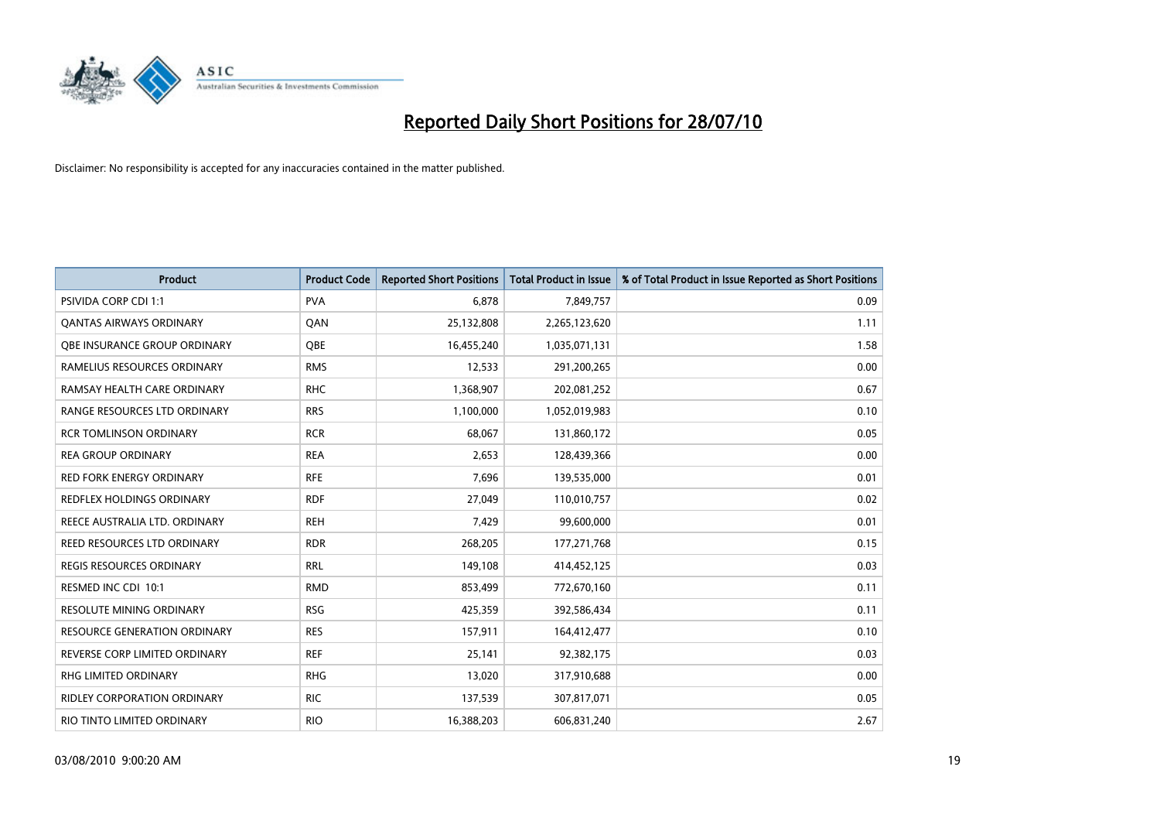

| <b>Product</b>                      | <b>Product Code</b> | <b>Reported Short Positions</b> | Total Product in Issue | % of Total Product in Issue Reported as Short Positions |
|-------------------------------------|---------------------|---------------------------------|------------------------|---------------------------------------------------------|
| <b>PSIVIDA CORP CDI 1:1</b>         | <b>PVA</b>          | 6.878                           | 7,849,757              | 0.09                                                    |
| <b>QANTAS AIRWAYS ORDINARY</b>      | QAN                 | 25,132,808                      | 2,265,123,620          | 1.11                                                    |
| OBE INSURANCE GROUP ORDINARY        | OBE                 | 16,455,240                      | 1,035,071,131          | 1.58                                                    |
| RAMELIUS RESOURCES ORDINARY         | <b>RMS</b>          | 12,533                          | 291,200,265            | 0.00                                                    |
| RAMSAY HEALTH CARE ORDINARY         | <b>RHC</b>          | 1,368,907                       | 202,081,252            | 0.67                                                    |
| RANGE RESOURCES LTD ORDINARY        | <b>RRS</b>          | 1,100,000                       | 1,052,019,983          | 0.10                                                    |
| <b>RCR TOMLINSON ORDINARY</b>       | <b>RCR</b>          | 68,067                          | 131,860,172            | 0.05                                                    |
| <b>REA GROUP ORDINARY</b>           | <b>REA</b>          | 2.653                           | 128,439,366            | 0.00                                                    |
| <b>RED FORK ENERGY ORDINARY</b>     | <b>RFE</b>          | 7,696                           | 139,535,000            | 0.01                                                    |
| <b>REDFLEX HOLDINGS ORDINARY</b>    | <b>RDF</b>          | 27,049                          | 110,010,757            | 0.02                                                    |
| REECE AUSTRALIA LTD. ORDINARY       | <b>REH</b>          | 7,429                           | 99,600,000             | 0.01                                                    |
| REED RESOURCES LTD ORDINARY         | <b>RDR</b>          | 268,205                         | 177,271,768            | 0.15                                                    |
| REGIS RESOURCES ORDINARY            | <b>RRL</b>          | 149,108                         | 414,452,125            | 0.03                                                    |
| RESMED INC CDI 10:1                 | <b>RMD</b>          | 853,499                         | 772,670,160            | 0.11                                                    |
| <b>RESOLUTE MINING ORDINARY</b>     | <b>RSG</b>          | 425,359                         | 392,586,434            | 0.11                                                    |
| <b>RESOURCE GENERATION ORDINARY</b> | <b>RES</b>          | 157,911                         | 164,412,477            | 0.10                                                    |
| REVERSE CORP LIMITED ORDINARY       | <b>REF</b>          | 25,141                          | 92,382,175             | 0.03                                                    |
| RHG LIMITED ORDINARY                | <b>RHG</b>          | 13,020                          | 317,910,688            | 0.00                                                    |
| <b>RIDLEY CORPORATION ORDINARY</b>  | <b>RIC</b>          | 137,539                         | 307,817,071            | 0.05                                                    |
| RIO TINTO LIMITED ORDINARY          | <b>RIO</b>          | 16,388,203                      | 606,831,240            | 2.67                                                    |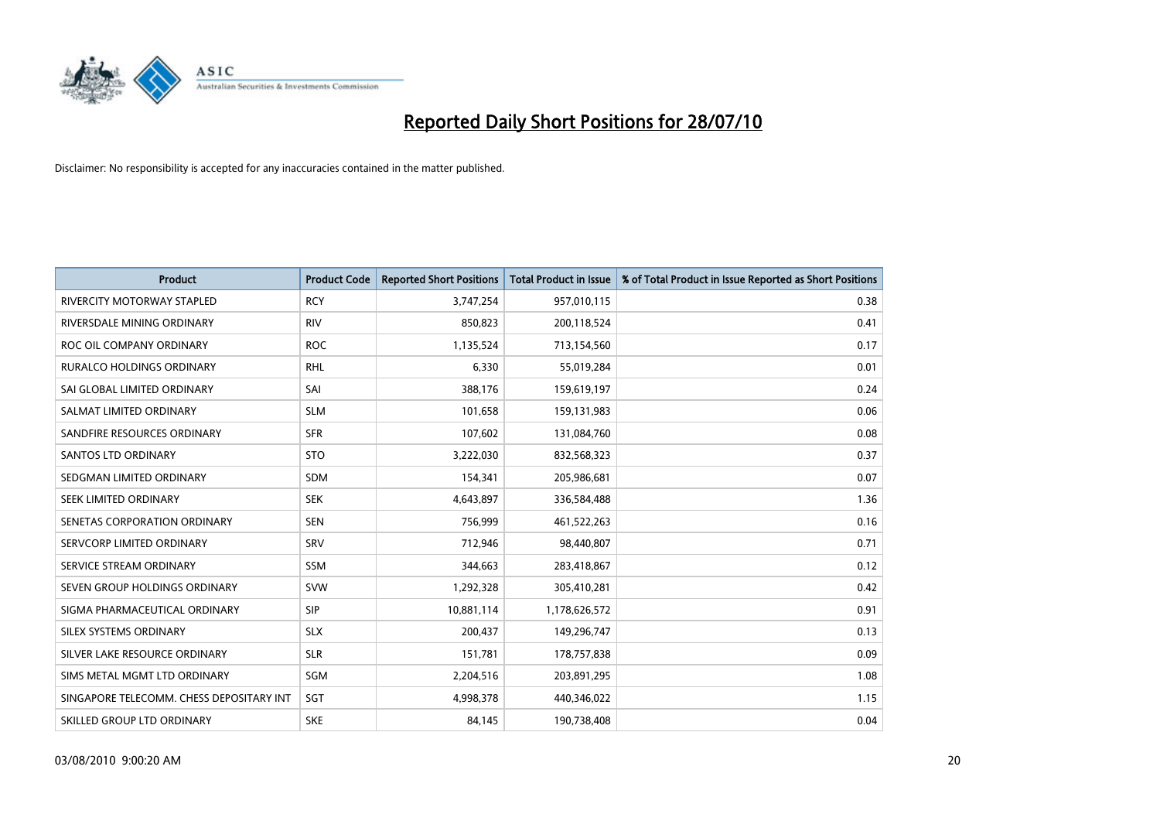

| <b>Product</b>                           | <b>Product Code</b> | <b>Reported Short Positions</b> | <b>Total Product in Issue</b> | % of Total Product in Issue Reported as Short Positions |
|------------------------------------------|---------------------|---------------------------------|-------------------------------|---------------------------------------------------------|
| <b>RIVERCITY MOTORWAY STAPLED</b>        | <b>RCY</b>          | 3,747,254                       | 957,010,115                   | 0.38                                                    |
| RIVERSDALE MINING ORDINARY               | <b>RIV</b>          | 850,823                         | 200,118,524                   | 0.41                                                    |
| ROC OIL COMPANY ORDINARY                 | <b>ROC</b>          | 1,135,524                       | 713,154,560                   | 0.17                                                    |
| RURALCO HOLDINGS ORDINARY                | <b>RHL</b>          | 6,330                           | 55,019,284                    | 0.01                                                    |
| SAI GLOBAL LIMITED ORDINARY              | SAI                 | 388,176                         | 159,619,197                   | 0.24                                                    |
| SALMAT LIMITED ORDINARY                  | <b>SLM</b>          | 101,658                         | 159,131,983                   | 0.06                                                    |
| SANDFIRE RESOURCES ORDINARY              | <b>SFR</b>          | 107,602                         | 131,084,760                   | 0.08                                                    |
| <b>SANTOS LTD ORDINARY</b>               | <b>STO</b>          | 3,222,030                       | 832,568,323                   | 0.37                                                    |
| SEDGMAN LIMITED ORDINARY                 | <b>SDM</b>          | 154,341                         | 205,986,681                   | 0.07                                                    |
| SEEK LIMITED ORDINARY                    | <b>SEK</b>          | 4,643,897                       | 336,584,488                   | 1.36                                                    |
| SENETAS CORPORATION ORDINARY             | <b>SEN</b>          | 756,999                         | 461,522,263                   | 0.16                                                    |
| SERVCORP LIMITED ORDINARY                | SRV                 | 712,946                         | 98,440,807                    | 0.71                                                    |
| SERVICE STREAM ORDINARY                  | <b>SSM</b>          | 344,663                         | 283,418,867                   | 0.12                                                    |
| SEVEN GROUP HOLDINGS ORDINARY            | <b>SVW</b>          | 1,292,328                       | 305,410,281                   | 0.42                                                    |
| SIGMA PHARMACEUTICAL ORDINARY            | <b>SIP</b>          | 10,881,114                      | 1,178,626,572                 | 0.91                                                    |
| SILEX SYSTEMS ORDINARY                   | <b>SLX</b>          | 200,437                         | 149,296,747                   | 0.13                                                    |
| SILVER LAKE RESOURCE ORDINARY            | <b>SLR</b>          | 151,781                         | 178,757,838                   | 0.09                                                    |
| SIMS METAL MGMT LTD ORDINARY             | SGM                 | 2,204,516                       | 203,891,295                   | 1.08                                                    |
| SINGAPORE TELECOMM. CHESS DEPOSITARY INT | SGT                 | 4,998,378                       | 440,346,022                   | 1.15                                                    |
| SKILLED GROUP LTD ORDINARY               | <b>SKE</b>          | 84,145                          | 190,738,408                   | 0.04                                                    |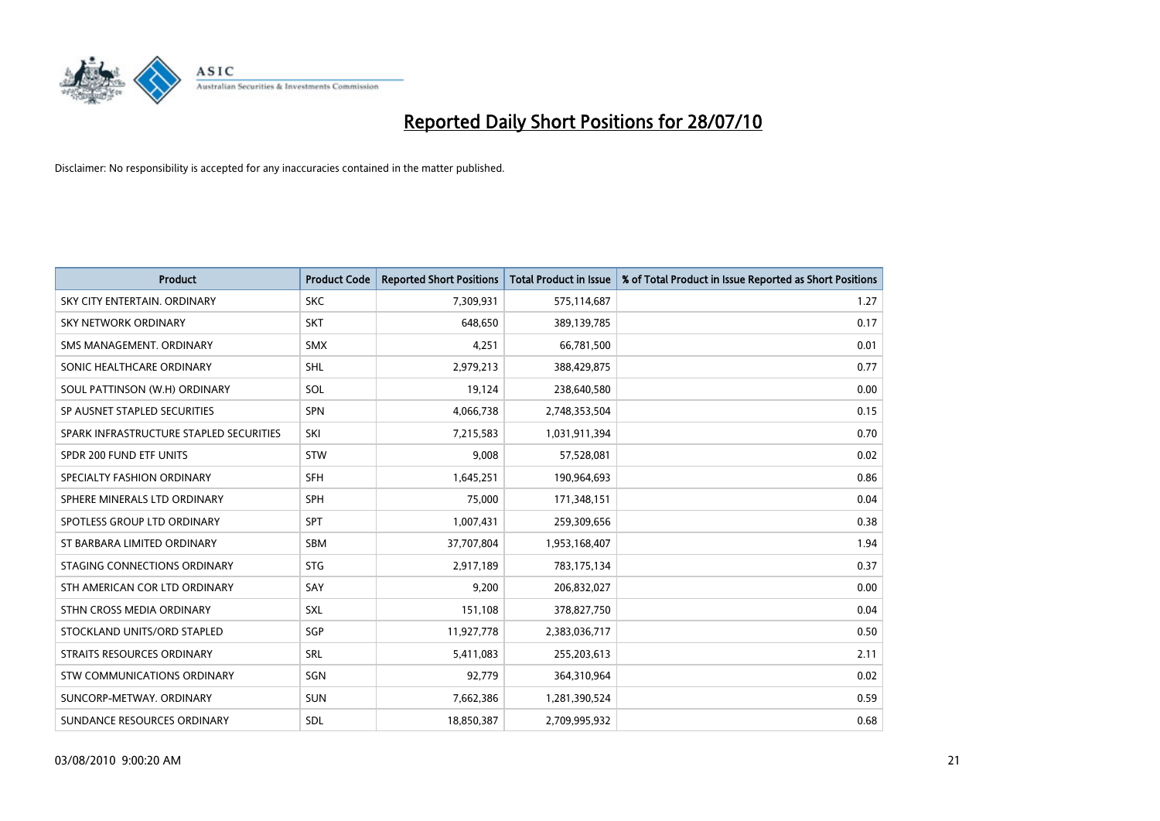

| <b>Product</b>                          | <b>Product Code</b> | <b>Reported Short Positions</b> | Total Product in Issue | % of Total Product in Issue Reported as Short Positions |
|-----------------------------------------|---------------------|---------------------------------|------------------------|---------------------------------------------------------|
| SKY CITY ENTERTAIN, ORDINARY            | <b>SKC</b>          | 7,309,931                       | 575,114,687            | 1.27                                                    |
| SKY NETWORK ORDINARY                    | <b>SKT</b>          | 648,650                         | 389,139,785            | 0.17                                                    |
| SMS MANAGEMENT, ORDINARY                | <b>SMX</b>          | 4,251                           | 66,781,500             | 0.01                                                    |
| SONIC HEALTHCARE ORDINARY               | <b>SHL</b>          | 2,979,213                       | 388,429,875            | 0.77                                                    |
| SOUL PATTINSON (W.H) ORDINARY           | SOL                 | 19,124                          | 238,640,580            | 0.00                                                    |
| SP AUSNET STAPLED SECURITIES            | SPN                 | 4,066,738                       | 2,748,353,504          | 0.15                                                    |
| SPARK INFRASTRUCTURE STAPLED SECURITIES | SKI                 | 7,215,583                       | 1,031,911,394          | 0.70                                                    |
| SPDR 200 FUND ETF UNITS                 | <b>STW</b>          | 9,008                           | 57,528,081             | 0.02                                                    |
| SPECIALTY FASHION ORDINARY              | SFH                 | 1,645,251                       | 190,964,693            | 0.86                                                    |
| SPHERE MINERALS LTD ORDINARY            | <b>SPH</b>          | 75,000                          | 171,348,151            | 0.04                                                    |
| SPOTLESS GROUP LTD ORDINARY             | <b>SPT</b>          | 1,007,431                       | 259,309,656            | 0.38                                                    |
| ST BARBARA LIMITED ORDINARY             | SBM                 | 37,707,804                      | 1,953,168,407          | 1.94                                                    |
| STAGING CONNECTIONS ORDINARY            | <b>STG</b>          | 2,917,189                       | 783,175,134            | 0.37                                                    |
| STH AMERICAN COR LTD ORDINARY           | SAY                 | 9,200                           | 206,832,027            | 0.00                                                    |
| STHN CROSS MEDIA ORDINARY               | <b>SXL</b>          | 151,108                         | 378,827,750            | 0.04                                                    |
| STOCKLAND UNITS/ORD STAPLED             | <b>SGP</b>          | 11,927,778                      | 2,383,036,717          | 0.50                                                    |
| STRAITS RESOURCES ORDINARY              | SRL                 | 5,411,083                       | 255,203,613            | 2.11                                                    |
| STW COMMUNICATIONS ORDINARY             | SGN                 | 92,779                          | 364,310,964            | 0.02                                                    |
| SUNCORP-METWAY, ORDINARY                | <b>SUN</b>          | 7,662,386                       | 1,281,390,524          | 0.59                                                    |
| SUNDANCE RESOURCES ORDINARY             | SDL                 | 18,850,387                      | 2,709,995,932          | 0.68                                                    |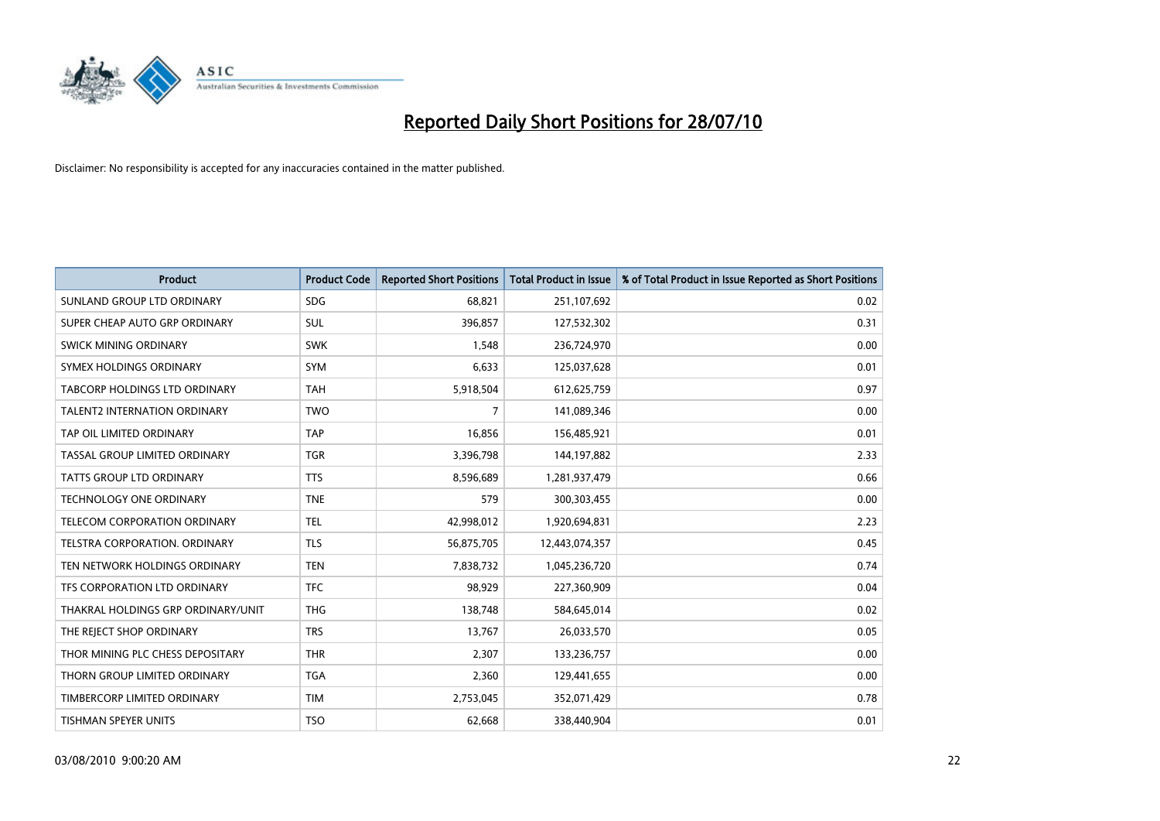

| <b>Product</b>                       | <b>Product Code</b> | <b>Reported Short Positions</b> | <b>Total Product in Issue</b> | % of Total Product in Issue Reported as Short Positions |
|--------------------------------------|---------------------|---------------------------------|-------------------------------|---------------------------------------------------------|
| SUNLAND GROUP LTD ORDINARY           | <b>SDG</b>          | 68.821                          | 251,107,692                   | 0.02                                                    |
| SUPER CHEAP AUTO GRP ORDINARY        | SUL                 | 396,857                         | 127,532,302                   | 0.31                                                    |
| <b>SWICK MINING ORDINARY</b>         | <b>SWK</b>          | 1,548                           | 236,724,970                   | 0.00                                                    |
| SYMEX HOLDINGS ORDINARY              | <b>SYM</b>          | 6,633                           | 125,037,628                   | 0.01                                                    |
| TABCORP HOLDINGS LTD ORDINARY        | <b>TAH</b>          | 5,918,504                       | 612,625,759                   | 0.97                                                    |
| <b>TALENT2 INTERNATION ORDINARY</b>  | <b>TWO</b>          | $\overline{7}$                  | 141,089,346                   | 0.00                                                    |
| TAP OIL LIMITED ORDINARY             | <b>TAP</b>          | 16,856                          | 156,485,921                   | 0.01                                                    |
| TASSAL GROUP LIMITED ORDINARY        | <b>TGR</b>          | 3,396,798                       | 144,197,882                   | 2.33                                                    |
| TATTS GROUP LTD ORDINARY             | <b>TTS</b>          | 8,596,689                       | 1,281,937,479                 | 0.66                                                    |
| <b>TECHNOLOGY ONE ORDINARY</b>       | <b>TNE</b>          | 579                             | 300,303,455                   | 0.00                                                    |
| TELECOM CORPORATION ORDINARY         | <b>TEL</b>          | 42,998,012                      | 1,920,694,831                 | 2.23                                                    |
| <b>TELSTRA CORPORATION, ORDINARY</b> | <b>TLS</b>          | 56,875,705                      | 12,443,074,357                | 0.45                                                    |
| TEN NETWORK HOLDINGS ORDINARY        | <b>TEN</b>          | 7,838,732                       | 1,045,236,720                 | 0.74                                                    |
| TFS CORPORATION LTD ORDINARY         | <b>TFC</b>          | 98,929                          | 227,360,909                   | 0.04                                                    |
| THAKRAL HOLDINGS GRP ORDINARY/UNIT   | <b>THG</b>          | 138,748                         | 584,645,014                   | 0.02                                                    |
| THE REJECT SHOP ORDINARY             | <b>TRS</b>          | 13,767                          | 26,033,570                    | 0.05                                                    |
| THOR MINING PLC CHESS DEPOSITARY     | <b>THR</b>          | 2,307                           | 133,236,757                   | 0.00                                                    |
| THORN GROUP LIMITED ORDINARY         | <b>TGA</b>          | 2,360                           | 129,441,655                   | 0.00                                                    |
| TIMBERCORP LIMITED ORDINARY          | <b>TIM</b>          | 2,753,045                       | 352,071,429                   | 0.78                                                    |
| TISHMAN SPEYER UNITS                 | <b>TSO</b>          | 62,668                          | 338,440,904                   | 0.01                                                    |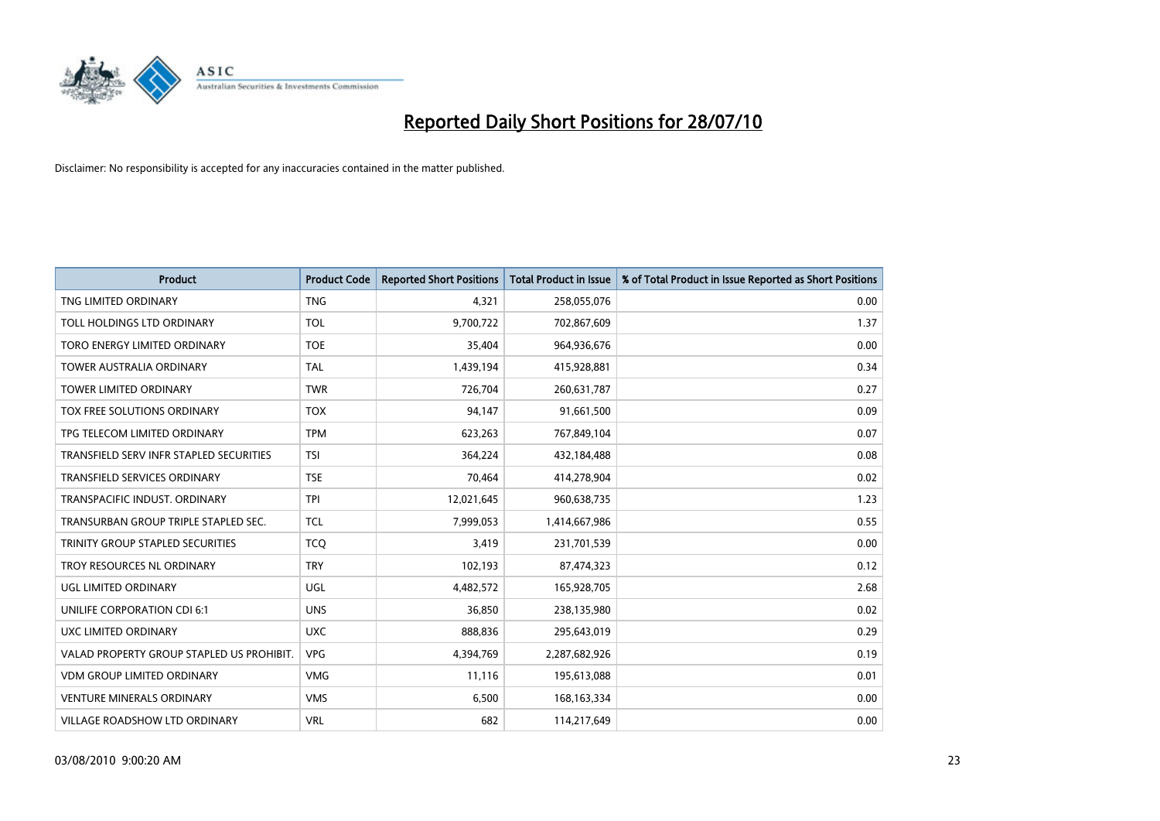

| <b>Product</b>                            | <b>Product Code</b> | <b>Reported Short Positions</b> | Total Product in Issue | % of Total Product in Issue Reported as Short Positions |
|-------------------------------------------|---------------------|---------------------------------|------------------------|---------------------------------------------------------|
| TNG LIMITED ORDINARY                      | <b>TNG</b>          | 4,321                           | 258,055,076            | 0.00                                                    |
| TOLL HOLDINGS LTD ORDINARY                | <b>TOL</b>          | 9,700,722                       | 702,867,609            | 1.37                                                    |
| TORO ENERGY LIMITED ORDINARY              | <b>TOE</b>          | 35,404                          | 964,936,676            | 0.00                                                    |
| TOWER AUSTRALIA ORDINARY                  | <b>TAL</b>          | 1,439,194                       | 415,928,881            | 0.34                                                    |
| <b>TOWER LIMITED ORDINARY</b>             | <b>TWR</b>          | 726,704                         | 260,631,787            | 0.27                                                    |
| <b>TOX FREE SOLUTIONS ORDINARY</b>        | <b>TOX</b>          | 94,147                          | 91,661,500             | 0.09                                                    |
| TPG TELECOM LIMITED ORDINARY              | <b>TPM</b>          | 623,263                         | 767,849,104            | 0.07                                                    |
| TRANSFIELD SERV INFR STAPLED SECURITIES   | <b>TSI</b>          | 364,224                         | 432,184,488            | 0.08                                                    |
| <b>TRANSFIELD SERVICES ORDINARY</b>       | <b>TSE</b>          | 70,464                          | 414,278,904            | 0.02                                                    |
| TRANSPACIFIC INDUST, ORDINARY             | <b>TPI</b>          | 12,021,645                      | 960,638,735            | 1.23                                                    |
| TRANSURBAN GROUP TRIPLE STAPLED SEC.      | <b>TCL</b>          | 7,999,053                       | 1,414,667,986          | 0.55                                                    |
| TRINITY GROUP STAPLED SECURITIES          | <b>TCQ</b>          | 3,419                           | 231,701,539            | 0.00                                                    |
| TROY RESOURCES NL ORDINARY                | <b>TRY</b>          | 102,193                         | 87,474,323             | 0.12                                                    |
| UGL LIMITED ORDINARY                      | UGL                 | 4,482,572                       | 165,928,705            | 2.68                                                    |
| UNILIFE CORPORATION CDI 6:1               | <b>UNS</b>          | 36,850                          | 238,135,980            | 0.02                                                    |
| UXC LIMITED ORDINARY                      | <b>UXC</b>          | 888,836                         | 295,643,019            | 0.29                                                    |
| VALAD PROPERTY GROUP STAPLED US PROHIBIT. | <b>VPG</b>          | 4,394,769                       | 2,287,682,926          | 0.19                                                    |
| VDM GROUP LIMITED ORDINARY                | <b>VMG</b>          | 11,116                          | 195,613,088            | 0.01                                                    |
| <b>VENTURE MINERALS ORDINARY</b>          | <b>VMS</b>          | 6,500                           | 168, 163, 334          | 0.00                                                    |
| <b>VILLAGE ROADSHOW LTD ORDINARY</b>      | <b>VRL</b>          | 682                             | 114,217,649            | 0.00                                                    |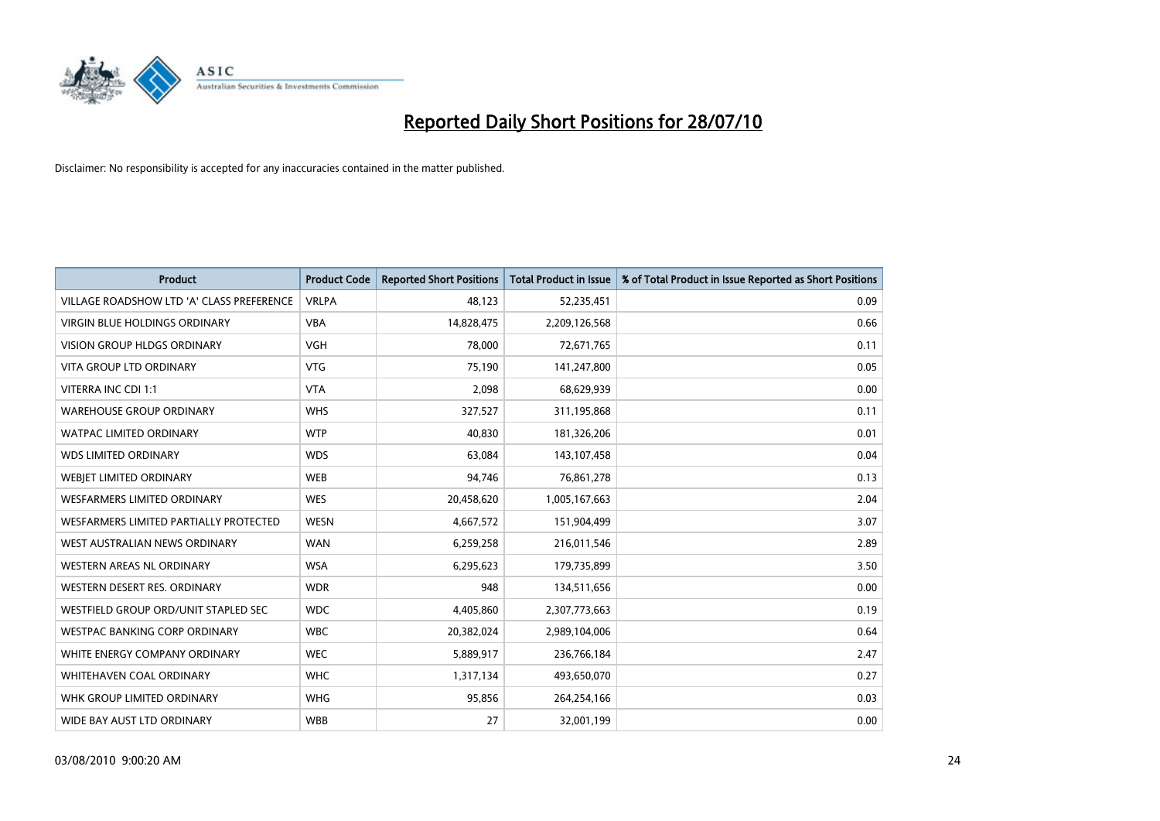

| <b>Product</b>                            | <b>Product Code</b> | <b>Reported Short Positions</b> | <b>Total Product in Issue</b> | % of Total Product in Issue Reported as Short Positions |
|-------------------------------------------|---------------------|---------------------------------|-------------------------------|---------------------------------------------------------|
| VILLAGE ROADSHOW LTD 'A' CLASS PREFERENCE | <b>VRLPA</b>        | 48,123                          | 52,235,451                    | 0.09                                                    |
| VIRGIN BLUE HOLDINGS ORDINARY             | <b>VBA</b>          | 14,828,475                      | 2,209,126,568                 | 0.66                                                    |
| <b>VISION GROUP HLDGS ORDINARY</b>        | <b>VGH</b>          | 78.000                          | 72,671,765                    | 0.11                                                    |
| <b>VITA GROUP LTD ORDINARY</b>            | <b>VTG</b>          | 75,190                          | 141,247,800                   | 0.05                                                    |
| VITERRA INC CDI 1:1                       | <b>VTA</b>          | 2,098                           | 68,629,939                    | 0.00                                                    |
| <b>WAREHOUSE GROUP ORDINARY</b>           | <b>WHS</b>          | 327,527                         | 311,195,868                   | 0.11                                                    |
| <b>WATPAC LIMITED ORDINARY</b>            | <b>WTP</b>          | 40,830                          | 181,326,206                   | 0.01                                                    |
| <b>WDS LIMITED ORDINARY</b>               | <b>WDS</b>          | 63,084                          | 143,107,458                   | 0.04                                                    |
| WEBJET LIMITED ORDINARY                   | <b>WEB</b>          | 94,746                          | 76,861,278                    | 0.13                                                    |
| <b>WESFARMERS LIMITED ORDINARY</b>        | <b>WES</b>          | 20,458,620                      | 1,005,167,663                 | 2.04                                                    |
| WESFARMERS LIMITED PARTIALLY PROTECTED    | <b>WESN</b>         | 4,667,572                       | 151,904,499                   | 3.07                                                    |
| WEST AUSTRALIAN NEWS ORDINARY             | <b>WAN</b>          | 6,259,258                       | 216,011,546                   | 2.89                                                    |
| WESTERN AREAS NL ORDINARY                 | <b>WSA</b>          | 6,295,623                       | 179,735,899                   | 3.50                                                    |
| WESTERN DESERT RES. ORDINARY              | <b>WDR</b>          | 948                             | 134,511,656                   | 0.00                                                    |
| WESTFIELD GROUP ORD/UNIT STAPLED SEC      | <b>WDC</b>          | 4,405,860                       | 2,307,773,663                 | 0.19                                                    |
| <b>WESTPAC BANKING CORP ORDINARY</b>      | <b>WBC</b>          | 20,382,024                      | 2,989,104,006                 | 0.64                                                    |
| WHITE ENERGY COMPANY ORDINARY             | <b>WEC</b>          | 5,889,917                       | 236,766,184                   | 2.47                                                    |
| WHITEHAVEN COAL ORDINARY                  | <b>WHC</b>          | 1,317,134                       | 493,650,070                   | 0.27                                                    |
| WHK GROUP LIMITED ORDINARY                | <b>WHG</b>          | 95,856                          | 264,254,166                   | 0.03                                                    |
| WIDE BAY AUST LTD ORDINARY                | <b>WBB</b>          | 27                              | 32,001,199                    | 0.00                                                    |